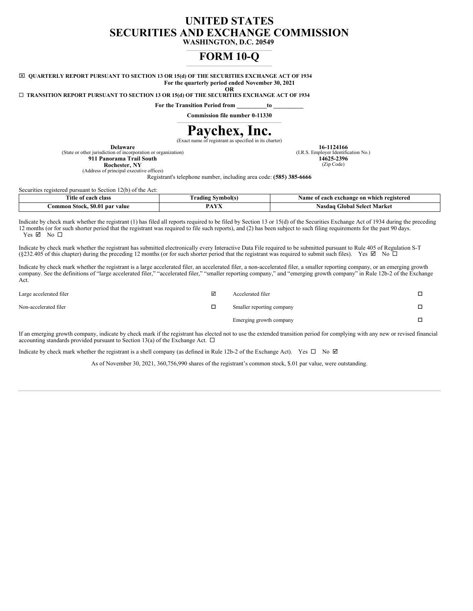## **UNITED STATES SECURITIES AND EXCHANGE COMMISSION**

**WASHINGTON, D.C. 20549**

## **FORM 10-Q**  $\mathcal{L}_\text{max}$  and  $\mathcal{L}_\text{max}$  and  $\mathcal{L}_\text{max}$  and  $\mathcal{L}_\text{max}$

x **QUARTERLY REPORT PURSUANT TO SECTION 13 OR 15(d) OF THE SECURITIES EXCHANGE ACT OF 1934 For the quarterly period ended November 30, 2021**

**OR**

¨ **TRANSITION REPORT PURSUANT TO SECTION 13 OR 15(d) OF THE SECURITIES EXCHANGE ACT OF 1934**

**For the Transition Period from \_\_\_\_\_\_\_\_\_\_to \_\_\_\_\_\_\_\_\_\_**

**Commission file number 0-11330** \_\_\_\_\_\_\_\_\_\_\_\_\_\_\_\_\_\_\_\_\_\_\_\_\_\_\_\_\_\_\_\_\_\_\_\_\_\_\_\_\_\_\_\_\_\_\_\_\_\_

# **Paychex, Inc.**

(Exact name of registrant as specified in its charter)

**Delaware**

**16-1124166** (I.R.S. Employer Identification No.) **14625-2396** (Zip Code)

(State or other jurisdiction of incorporation or organization)

**911 Panorama Trail South Rochester, NY**

(Address of principal executive offices)

Registrant's telephone number, including area code: **(585) 385-6666**

| Securities registered pursuant to Section 12(b) of the Act: |                          |                                           |
|-------------------------------------------------------------|--------------------------|-------------------------------------------|
| Title of each class                                         | <b>Trading Symbol(s)</b> | Name of each exchange on which registered |
| Common Stock, \$0.01 par value                              | D A V.V<br>AYA           | Nasdaq Global Select Market               |

Indicate by check mark whether the registrant (1) has filed all reports required to be filed by Section 13 or 15(d) of the Securities Exchange Act of 1934 during the preceding 12 months (or for such shorter period that the registrant was required to file such reports), and (2) has been subject to such filing requirements for the past 90 days. Yes  $\boxtimes$  No  $\square$ 

Indicate by check mark whether the registrant has submitted electronically every Interactive Data File required to be submitted pursuant to Rule 405 of Regulation S-T (§232.405 of this chapter) during the preceding 12 months (or for such shorter period that the registrant was required to submit such files). Yes  $\boxtimes$  No  $\Box$ 

Indicate by check mark whether the registrant is a large accelerated filer, an accelerated filer, a non-accelerated filer, a smaller reporting company, or an emerging growth company. See the definitions of "large accelerated filer," "accelerated filer," "smaller reporting company," and "emerging growth company" in Rule 12b-2 of the Exchange Act.

| Large accelerated filer | Accelerated filer         | ◻ |
|-------------------------|---------------------------|---|
| Non-accelerated filer   | Smaller reporting company | п |
|                         | Emerging growth company   | п |

If an emerging growth company, indicate by check mark if the registrant has elected not to use the extended transition period for complying with any new or revised financial accounting standards provided pursuant to Section 13(a) of the Exchange Act.  $\Box$ 

Indicate by check mark whether the registrant is a shell company (as defined in Rule 12b-2 of the Exchange Act). Yes  $\Box$  No  $\Box$ 

As of November 30, 2021, 360,756,990 shares of the registrant's common stock, \$.01 par value, were outstanding.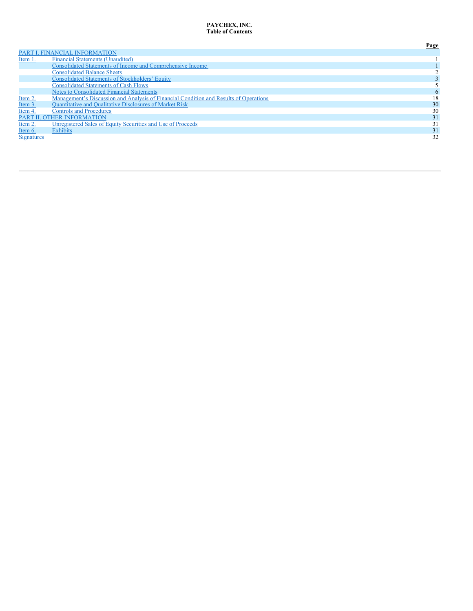#### <span id="page-1-0"></span>PAYCHEX, INC. **Table of Contents**

|                   |                                                                                       | Page |
|-------------------|---------------------------------------------------------------------------------------|------|
|                   | PART I. FINANCIAL INFORMATION                                                         |      |
| Item 1.           | <b>Financial Statements (Unaudited)</b>                                               |      |
|                   | Consolidated Statements of Income and Comprehensive Income                            |      |
|                   | <b>Consolidated Balance Sheets</b>                                                    |      |
|                   | <b>Consolidated Statements of Stockholders' Equity</b>                                |      |
|                   | <b>Consolidated Statements of Cash Flows</b>                                          |      |
|                   | <b>Notes to Consolidated Financial Statements</b>                                     |      |
| Item 2.           | Management's Discussion and Analysis of Financial Condition and Results of Operations | 18   |
| Item 3.           | <b>Quantitative and Qualitative Disclosures of Market Risk</b>                        | 30   |
| Item 4.           | <b>Controls and Procedures</b>                                                        | 30   |
|                   | PART II. OTHER INFORMATION                                                            | 31   |
| Item 2.           | Unregistered Sales of Equity Securities and Use of Proceeds                           | 31   |
| Item 6.           | <b>Exhibits</b>                                                                       | 31   |
| <b>Signatures</b> |                                                                                       | 32   |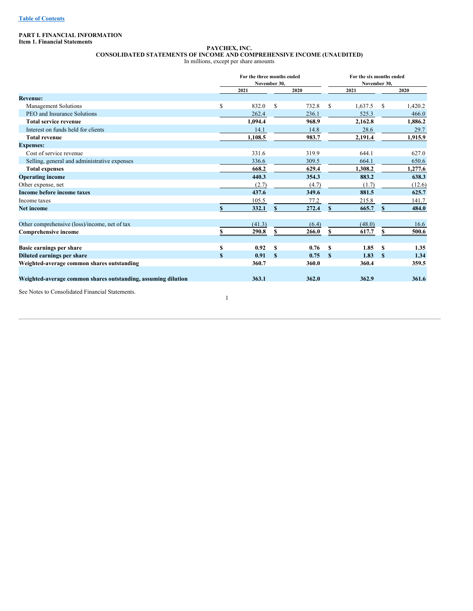## <span id="page-2-0"></span>**PART I. FINANCIAL INFORMATION**

**Item 1. Financial Statements**

#### <span id="page-2-1"></span>**PAYCHEX, INC. CONSOLIDATED STATEMENTS OF INCOME AND COMPREHENSIVE INCOME (UNAUDITED)** In millions, except per share amounts

|                                                               |    | For the three months ended | November 30, |       |               | For the six months ended<br>November 30, |               |         |
|---------------------------------------------------------------|----|----------------------------|--------------|-------|---------------|------------------------------------------|---------------|---------|
|                                                               |    | 2021                       |              | 2020  |               | 2021                                     |               | 2020    |
| <b>Revenue:</b>                                               |    |                            |              |       |               |                                          |               |         |
| Management Solutions                                          | S  | 832.0                      | \$           | 732.8 | <sup>\$</sup> | 1,637.5                                  | <sup>\$</sup> | 1,420.2 |
| PEO and Insurance Solutions                                   |    | 262.4                      |              | 236.1 |               | 525.3                                    |               | 466.0   |
| <b>Total service revenue</b>                                  |    | 1.094.4                    |              | 968.9 |               | 2,162.8                                  |               | 1,886.2 |
| Interest on funds held for clients                            |    | 14.1                       |              | 14.8  |               | 28.6                                     |               | 29.7    |
| <b>Total revenue</b>                                          |    | 1,108.5                    |              | 983.7 |               | 2,191.4                                  |               | 1,915.9 |
| <b>Expenses:</b>                                              |    |                            |              |       |               |                                          |               |         |
| Cost of service revenue                                       |    | 331.6                      |              | 319.9 |               | 644.1                                    |               | 627.0   |
| Selling, general and administrative expenses                  |    | 336.6                      |              | 309.5 |               | 664.1                                    |               | 650.6   |
| <b>Total expenses</b>                                         |    | 668.2                      |              | 629.4 |               | 1,308.2                                  |               | 1,277.6 |
| <b>Operating income</b>                                       |    | 440.3                      |              | 354.3 |               | 883.2                                    |               | 638.3   |
| Other expense, net                                            |    | (2.7)                      |              | (4.7) |               | (1.7)                                    |               | (12.6)  |
| Income before income taxes                                    |    | 437.6                      |              | 349.6 |               | 881.5                                    |               | 625.7   |
| Income taxes                                                  |    | 105.5                      |              | 77.2  |               | 215.8                                    |               | 141.7   |
| <b>Net income</b>                                             |    | 332.1                      | S.           | 272.4 | $\mathbf{s}$  | 665.7                                    | \$.           | 484.0   |
| Other comprehensive (loss)/income, net of tax                 |    | (41.3)                     |              | (6.4) |               | (48.0)                                   |               | 16.6    |
| <b>Comprehensive income</b>                                   |    | 290.8                      | \$           | 266.0 | S             | 617.7                                    | S             | 500.6   |
| Basic earnings per share                                      | S  | 0.92                       | S            | 0.76  | <b>S</b>      | 1.85                                     | <sup>\$</sup> | 1.35    |
| <b>Diluted earnings per share</b>                             | \$ | 0.91                       | $\mathbf{s}$ | 0.75  | $\mathbf{s}$  | 1.83                                     | <sup>\$</sup> | 1.34    |
| Weighted-average common shares outstanding                    |    | 360.7                      |              | 360.0 |               | 360.4                                    |               | 359.5   |
| Weighted-average common shares outstanding, assuming dilution |    | 363.1                      |              | 362.0 |               | 362.9                                    |               | 361.6   |

1

See Notes to Consolidated Financial Statements.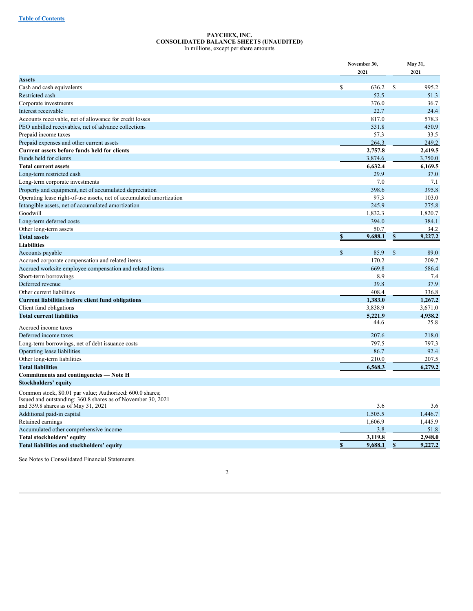#### <span id="page-3-0"></span>**PAYCHEX, INC. CONSOLIDATED BALANCE SHEETS (UNAUDITED)** In millions, except per share amounts

|                                                                                                                           | November 30,<br>2021              | May 31,<br>2021 |                    |  |
|---------------------------------------------------------------------------------------------------------------------------|-----------------------------------|-----------------|--------------------|--|
| <b>Assets</b>                                                                                                             |                                   |                 |                    |  |
| Cash and cash equivalents                                                                                                 | \$<br>636.2                       | \$              | 995.2              |  |
| Restricted cash                                                                                                           | 52.5                              |                 | 51.3               |  |
| Corporate investments                                                                                                     | 376.0                             |                 | 36.7               |  |
| Interest receivable                                                                                                       | 22.7                              |                 | 24.4               |  |
| Accounts receivable, net of allowance for credit losses                                                                   | 817.0                             |                 | 578.3              |  |
| PEO unbilled receivables, net of advance collections                                                                      | 531.8                             |                 | 450.9              |  |
| Prepaid income taxes                                                                                                      | 57.3                              |                 | 33.5               |  |
| Prepaid expenses and other current assets                                                                                 | 264.3                             |                 | 249.2              |  |
| Current assets before funds held for clients                                                                              | 2,757.8                           |                 | 2,419.5            |  |
| Funds held for clients                                                                                                    | 3,874.6                           |                 | 3,750.0            |  |
| <b>Total current assets</b>                                                                                               | 6,632.4                           |                 | 6,169.5            |  |
| Long-term restricted cash                                                                                                 | 29.9                              |                 | 37.0               |  |
| Long-term corporate investments                                                                                           | 7.0                               |                 | 7.1                |  |
| Property and equipment, net of accumulated depreciation                                                                   | 398.6                             |                 | 395.8              |  |
| Operating lease right-of-use assets, net of accumulated amortization                                                      | 97.3                              |                 | 103.0              |  |
| Intangible assets, net of accumulated amortization                                                                        | 245.9                             |                 | 275.8              |  |
| Goodwill                                                                                                                  | 1,832.3                           |                 | 1,820.7            |  |
| Long-term deferred costs                                                                                                  | 394.0                             |                 | 384.1              |  |
| Other long-term assets                                                                                                    | 50.7                              |                 | 34.2               |  |
| <b>Total assets</b>                                                                                                       | $\boldsymbol{s}$<br>9,688.1       | \$              | 9,227.2            |  |
| <b>Liabilities</b>                                                                                                        |                                   |                 |                    |  |
| Accounts payable                                                                                                          | $\mathsf{\$}$<br>85.9             | $\mathbb{S}$    | 89.0               |  |
| Accrued corporate compensation and related items                                                                          | 170.2                             |                 | 209.7              |  |
| Accrued worksite employee compensation and related items                                                                  | 669.8                             |                 | 586.4              |  |
| Short-term borrowings                                                                                                     | 8.9                               |                 | 7.4                |  |
| Deferred revenue                                                                                                          | 39.8                              |                 | 37.9               |  |
| Other current liabilities                                                                                                 | 408.4                             |                 | 336.8              |  |
| <b>Current liabilities before client fund obligations</b>                                                                 | 1,383.0                           |                 | 1,267.2            |  |
| Client fund obligations                                                                                                   | 3,838.9                           |                 | 3,671.0            |  |
| <b>Total current liabilities</b>                                                                                          | 5,221.9                           |                 | 4,938.2            |  |
|                                                                                                                           | 44.6                              |                 | 25.8               |  |
| Accrued income taxes                                                                                                      |                                   |                 |                    |  |
| Deferred income taxes                                                                                                     | 207.6                             |                 | 218.0              |  |
| Long-term borrowings, net of debt issuance costs                                                                          | 797.5                             |                 | 797.3              |  |
| Operating lease liabilities                                                                                               | 86.7                              |                 | 92.4               |  |
| Other long-term liabilities                                                                                               | 210.0                             |                 | 207.5              |  |
| <b>Total liabilities</b>                                                                                                  | 6,568.3                           |                 | 6,279.2            |  |
| Commitments and contingencies - Note H                                                                                    |                                   |                 |                    |  |
| Stockholders' equity                                                                                                      |                                   |                 |                    |  |
| Common stock, \$0.01 par value; Authorized: 600.0 shares;<br>Issued and outstanding: 360.8 shares as of November 30, 2021 | 3.6                               |                 | 3.6                |  |
| and 359.8 shares as of May 31, 2021                                                                                       |                                   |                 |                    |  |
| Additional paid-in capital                                                                                                | 1,505.5                           |                 | 1,446.7            |  |
| Retained earnings                                                                                                         | 1,606.9                           |                 | 1,445.9            |  |
| Accumulated other comprehensive income                                                                                    | 3.8                               |                 | 51.8               |  |
| Total stockholders' equity                                                                                                | 3,119.8<br>$\mathbf S$<br>9,688.1 |                 | 2,948.0<br>9,227.2 |  |
| Total liabilities and stockholders' equity                                                                                |                                   | \$              |                    |  |
| See Notes to Consolidated Financial Statements.                                                                           |                                   |                 |                    |  |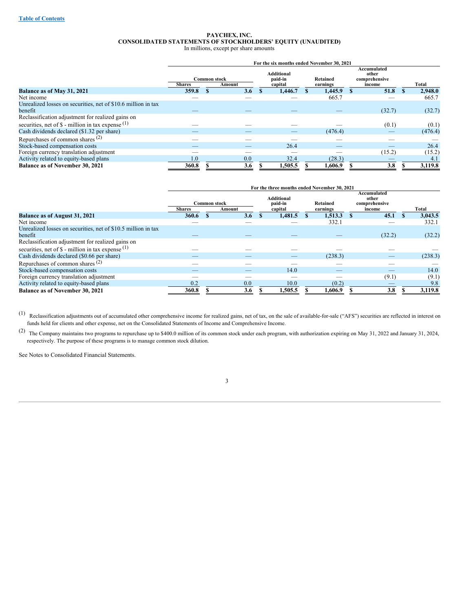#### <span id="page-4-0"></span>**PAYCHEX, INC. CONSOLIDATED STATEMENTS OF STOCKHOLDERS' EQUITY (UNAUDITED)** In millions, except per share amounts

|                                                                                         | For the six months ended November 30, 2021 |                     |        |  |                                         |  |                      |  |                                                 |  |         |
|-----------------------------------------------------------------------------------------|--------------------------------------------|---------------------|--------|--|-----------------------------------------|--|----------------------|--|-------------------------------------------------|--|---------|
|                                                                                         | <b>Shares</b>                              | <b>Common stock</b> | Amount |  | <b>Additional</b><br>paid-in<br>capital |  | Retained<br>earnings |  | Accumulated<br>other<br>comprehensive<br>income |  | Total   |
| Balance as of May 31, 2021                                                              | 359.8                                      |                     | 3.6    |  | 1.446.7                                 |  | 1,445.9              |  | 51.8                                            |  | 2.948.0 |
| Net income                                                                              |                                            |                     |        |  |                                         |  | 665.7                |  |                                                 |  | 665.7   |
| Unrealized losses on securities, net of \$10.6 million in tax<br>benefit                |                                            |                     |        |  |                                         |  |                      |  | (32.7)                                          |  | (32.7)  |
| Reclassification adjustment for realized gains on                                       |                                            |                     |        |  |                                         |  |                      |  |                                                 |  |         |
| securities, net of $\$\text{-}\text{million}$ in tax expense $\left(\frac{1}{2}\right)$ |                                            |                     |        |  |                                         |  |                      |  | (0.1)                                           |  | (0.1)   |
| Cash dividends declared (\$1.32 per share)                                              |                                            |                     |        |  |                                         |  | (476.4)              |  |                                                 |  | (476.4) |
| Repurchases of common shares $(2)$                                                      |                                            |                     |        |  |                                         |  |                      |  |                                                 |  |         |
| Stock-based compensation costs                                                          |                                            |                     |        |  | 26.4                                    |  |                      |  |                                                 |  | 26.4    |
| Foreign currency translation adjustment                                                 |                                            |                     |        |  |                                         |  |                      |  | (15.2)                                          |  | (15.2)  |
| Activity related to equity-based plans                                                  | 0.                                         |                     | 0.0    |  | 32.4                                    |  | (28.3)               |  |                                                 |  | 4.1     |
| <b>Balance as of November 30, 2021</b>                                                  | 360.8                                      |                     | 3.6    |  | 1,505.5                                 |  | 1,606.9              |  | 3.8                                             |  | 3,119.8 |

|                                                                                                             | For the three months ended November 30, 2021 |                     |        |  |                                  |  |                      |  |                                                 |  |         |
|-------------------------------------------------------------------------------------------------------------|----------------------------------------------|---------------------|--------|--|----------------------------------|--|----------------------|--|-------------------------------------------------|--|---------|
|                                                                                                             | <b>Shares</b>                                | <b>Common stock</b> | Amount |  | Additional<br>paid-in<br>capital |  | Retained<br>earnings |  | Accumulated<br>other<br>comprehensive<br>income |  | Total   |
| Balance as of August 31, 2021                                                                               | 360.6                                        |                     | 3.6    |  | 1,481.5                          |  | 1,513.3              |  | 45.1                                            |  | 3,043.5 |
| Net income                                                                                                  |                                              |                     |        |  |                                  |  | 332.1                |  |                                                 |  | 332.1   |
| Unrealized losses on securities, net of \$10.5 million in tax<br>benefit                                    |                                              |                     |        |  |                                  |  |                      |  | (32.2)                                          |  | (32.2)  |
| Reclassification adjustment for realized gains on<br>securities, net of $\$$ - million in tax expense $(1)$ |                                              |                     |        |  |                                  |  |                      |  |                                                 |  |         |
| Cash dividends declared (\$0.66 per share)                                                                  |                                              |                     |        |  |                                  |  | (238.3)              |  |                                                 |  | (238.3) |
| Repurchases of common shares $(2)$                                                                          | __                                           |                     |        |  |                                  |  |                      |  |                                                 |  |         |
| Stock-based compensation costs                                                                              |                                              |                     | _      |  | 14.0                             |  | _                    |  | _                                               |  | 14.0    |
| Foreign currency translation adjustment                                                                     |                                              |                     |        |  |                                  |  |                      |  | (9.1)                                           |  | (9.1)   |
| Activity related to equity-based plans                                                                      | 0.2                                          |                     | 0.0    |  | 10.0                             |  | (0.2)                |  |                                                 |  | 9.8     |
| <b>Balance as of November 30, 2021</b>                                                                      | 360.8                                        |                     | 3.6    |  | 1,505.5                          |  | 1,606.9              |  | 3.8                                             |  | 3,119.8 |

(1) Reclassification adjustments out of accumulated other comprehensive income for realized gains, net of tax, on the sale of available-for-sale ("AFS") securities are reflected in interest on funds held for clients and other expense, net on the Consolidated Statements of Income and Comprehensive Income.

(2) The Company maintains two programs to repurchase up to \$400.0 million of its common stock under each program, with authorization expiring on May 31, <sup>2022</sup> and January 31, 2024, respectively. The purpose of these programs is to manage common stock dilution.

See Notes to Consolidated Financial Statements.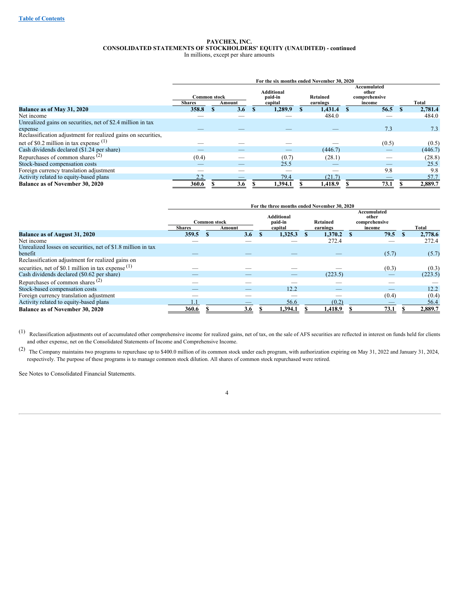#### **PAYCHEX, INC. CONSOLIDATED STATEMENTS OF STOCKHOLDERS' EQUITY (UNAUDITED) - continued** In millions, except per share amounts

|                                                               |                                      |        | For the six months ended November 30, 2020 |                      |                                                 |         |
|---------------------------------------------------------------|--------------------------------------|--------|--------------------------------------------|----------------------|-------------------------------------------------|---------|
|                                                               | <b>Common stock</b><br><b>Shares</b> | Amount | Additional<br>paid-in<br>capital           | Retained<br>earnings | Accumulated<br>other<br>comprehensive<br>income | Total   |
| Balance as of May 31, 2020                                    | 358.8                                | 3.6    | 1,289.9                                    | 1.431.4              | 56.5                                            | 2.781.4 |
| Net income                                                    |                                      |        |                                            | 484.0                |                                                 | 484.0   |
| Unrealized gains on securities, net of \$2.4 million in tax   |                                      |        |                                            |                      |                                                 |         |
| expense                                                       |                                      |        |                                            |                      | 7.3                                             | 7.3     |
| Reclassification adjustment for realized gains on securities, |                                      |        |                                            |                      |                                                 |         |
| net of \$0.2 million in tax expense $(1)$                     |                                      |        |                                            |                      | (0.5)                                           | (0.5)   |
| Cash dividends declared (\$1.24 per share)                    |                                      |        |                                            | (446.7)              |                                                 | (446.7) |
| Repurchases of common shares $(2)$                            | (0.4)                                |        | (0.7)                                      | (28.1)               |                                                 | (28.8)  |
| Stock-based compensation costs                                |                                      |        | 25.5                                       |                      |                                                 | 25.5    |
| Foreign currency translation adjustment                       |                                      |        |                                            |                      | 9.8                                             | 9.8     |
| Activity related to equity-based plans                        | 2.2                                  |        | 79.4                                       | (21.7)               |                                                 | 57.7    |
| <b>Balance as of November 30, 2020</b>                        | 360.6                                | 3.6    | 1,394.1                                    | 1,418.9              | 73.1                                            | 2,889.7 |

|                                                                                                                              | For the three months ended November 30, 2020 |                     |        |  |                                         |  |                      |  |                                                 |  |         |
|------------------------------------------------------------------------------------------------------------------------------|----------------------------------------------|---------------------|--------|--|-----------------------------------------|--|----------------------|--|-------------------------------------------------|--|---------|
|                                                                                                                              | <b>Shares</b>                                | <b>Common stock</b> | Amount |  | <b>Additional</b><br>paid-in<br>capital |  | Retained<br>earnings |  | Accumulated<br>other<br>comprehensive<br>income |  | Total   |
| Balance as of August 31, 2020                                                                                                | 359.5                                        |                     | 3.6    |  | 1.325.3                                 |  | 1.370.2              |  | 79.5                                            |  | 2,778.6 |
| Net income                                                                                                                   |                                              |                     |        |  |                                         |  | 272.4                |  |                                                 |  | 272.4   |
| Unrealized losses on securities, net of \$1.8 million in tax<br>benefit<br>Reclassification adjustment for realized gains on |                                              |                     |        |  |                                         |  |                      |  | (5.7)                                           |  | (5.7)   |
| securities, net of \$0.1 million in tax expense $(1)$                                                                        |                                              |                     |        |  |                                         |  |                      |  | (0.3)                                           |  | (0.3)   |
| Cash dividends declared (\$0.62 per share)                                                                                   |                                              |                     |        |  |                                         |  | (223.5)              |  |                                                 |  | (223.5) |
| Repurchases of common shares $(2)$                                                                                           |                                              |                     |        |  |                                         |  |                      |  |                                                 |  |         |
| Stock-based compensation costs                                                                                               |                                              |                     |        |  | 12.2                                    |  | _                    |  |                                                 |  | 12.2    |
| Foreign currency translation adjustment                                                                                      |                                              |                     |        |  |                                         |  |                      |  | (0.4)                                           |  | (0.4)   |
| Activity related to equity-based plans                                                                                       |                                              |                     |        |  | 56.6                                    |  | (0.2)                |  |                                                 |  | 56.4    |
| <b>Balance as of November 30, 2020</b>                                                                                       | 360.6                                        |                     | 3.6    |  | 1,394.1                                 |  | 1,418.9              |  | 73.1                                            |  | 2,889.7 |

 $(1)$  Reclassification adjustments out of accumulated other comprehensive income for realized gains, net of tax, on the sale of AFS securities are reflected in interest on funds held for clients and other expense, net on the Consolidated Statements of Income and Comprehensive Income.

(2) The Company maintains two programs to repurchase up to \$400.0 million of its common stock under each program, with authorization expiring on May 31, <sup>2022</sup> and January 31, 2024, respectively. The purpose of these programs is to manage common stock dilution. All shares of common stock repurchased were retired.

See Notes to Consolidated Financial Statements.

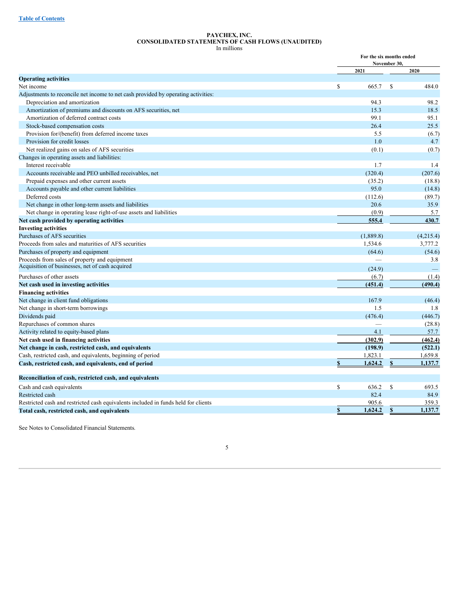#### <span id="page-6-0"></span>**PAYCHEX, INC. CONSOLIDATED STATEMENTS OF CASH FLOWS (UNAUDITED)** In millions

|                                                                                    |               | For the six months ended<br>November 30, |           |
|------------------------------------------------------------------------------------|---------------|------------------------------------------|-----------|
|                                                                                    | 2021          |                                          | 2020      |
| <b>Operating activities</b>                                                        |               |                                          |           |
| Net income                                                                         | \$            | 665.7<br><sup>\$</sup>                   | 484.0     |
| Adjustments to reconcile net income to net cash provided by operating activities:  |               |                                          |           |
| Depreciation and amortization                                                      |               | 94.3                                     | 98.2      |
| Amortization of premiums and discounts on AFS securities, net                      |               | 15.3                                     | 18.5      |
| Amortization of deferred contract costs                                            |               | 99.1                                     | 95.1      |
| Stock-based compensation costs                                                     |               | 26.4                                     | 25.5      |
| Provision for/(benefit) from deferred income taxes                                 |               | 5.5                                      | (6.7)     |
| Provision for credit losses                                                        |               | 1.0                                      | 4.7       |
| Net realized gains on sales of AFS securities                                      |               | (0.1)                                    | (0.7)     |
| Changes in operating assets and liabilities:                                       |               |                                          |           |
| Interest receivable                                                                |               | 1.7                                      | 1.4       |
| Accounts receivable and PEO unbilled receivables, net                              |               | (320.4)                                  | (207.6)   |
| Prepaid expenses and other current assets                                          |               | (35.2)                                   | (18.8)    |
| Accounts payable and other current liabilities                                     |               | 95.0                                     | (14.8)    |
| Deferred costs                                                                     |               | (112.6)                                  | (89.7)    |
| Net change in other long-term assets and liabilities                               |               | 20.6                                     | 35.9      |
| Net change in operating lease right-of-use assets and liabilities                  |               | (0.9)                                    | 5.7       |
| Net cash provided by operating activities                                          |               | 555.4                                    | 430.7     |
| <b>Investing activities</b>                                                        |               |                                          |           |
| Purchases of AFS securities                                                        |               | (1,889.8)                                | (4,215.4) |
| Proceeds from sales and maturities of AFS securities                               |               | 1,534.6                                  | 3,777.2   |
| Purchases of property and equipment                                                |               | (64.6)                                   | (54.6)    |
| Proceeds from sales of property and equipment                                      |               | $\overline{\phantom{0}}$                 | 3.8       |
| Acquisition of businesses, net of cash acquired                                    |               | (24.9)                                   |           |
| Purchases of other assets                                                          |               | (6.7)                                    | (1.4)     |
| Net cash used in investing activities                                              |               | (451.4)                                  | (490.4)   |
| <b>Financing activities</b>                                                        |               |                                          |           |
| Net change in client fund obligations                                              |               | 167.9                                    | (46.4)    |
| Net change in short-term borrowings                                                |               | 1.5                                      | 1.8       |
| Dividends paid                                                                     |               | (476.4)                                  | (446.7)   |
| Repurchases of common shares                                                       |               | ÷.                                       | (28.8)    |
| Activity related to equity-based plans                                             |               | 4.1                                      | 57.7      |
| Net cash used in financing activities                                              |               | (302.9)                                  | (462.4)   |
| Net change in cash, restricted cash, and equivalents                               |               | (198.9)                                  | (522.1)   |
| Cash, restricted cash, and equivalents, beginning of period                        |               | 1,823.1                                  | 1,659.8   |
| Cash, restricted cash, and equivalents, end of period                              | \$            | 1,624.2<br>\$                            | 1,137.7   |
| Reconciliation of cash, restricted cash, and equivalents                           |               |                                          |           |
| Cash and cash equivalents                                                          | <sup>\$</sup> | 636.2<br><sup>\$</sup>                   | 693.5     |
| Restricted cash                                                                    |               | 82.4                                     | 84.9      |
| Restricted cash and restricted cash equivalents included in funds held for clients |               | 905.6                                    | 359.3     |
| Total cash, restricted cash, and equivalents                                       | $\mathbf S$   | 1,624.2<br>$\mathbf{s}$                  | 1,137.7   |

See Notes to Consolidated Financial Statements.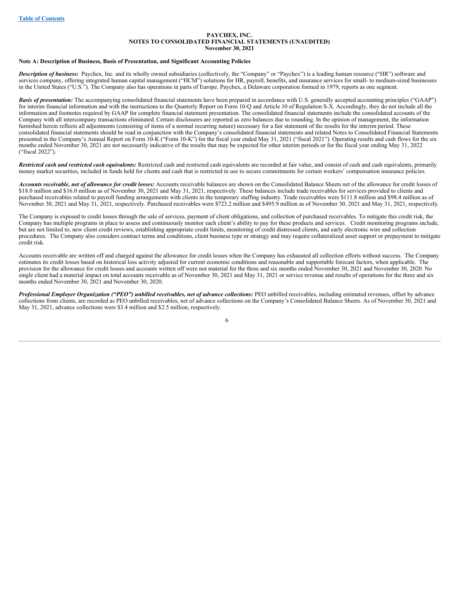#### <span id="page-7-0"></span>**PAYCHEX, INC. NOTES TO CONSOLIDATED FINANCIAL STATEMENTS (UNAUDITED) November 30, 2021**

#### **Note A: Description of Business, Basis of Presentation, and Significant Accounting Policies**

*Description of business:* Paychex, Inc. and its wholly owned subsidiaries (collectively, the "Company" or "Paychex") is a leading human resource ("HR") software and services company, offering integrated human capital management ("HCM") solutions for HR, payroll, benefits, and insurance services for small- to medium-sized businesses in the United States ("U.S."). The Company also has operations in parts of Europe. Paychex, a Delaware corporation formed in 1979, reports as one segment.

**Basis of presentation:** The accompanying consolidated financial statements have been prepared in accordance with U.S. generally accepted accounting principles ("GAAP") for interim financial information and with the instructions to the Quarterly Report on Form 10-Q and Article 10 of Regulation S-X. Accordingly, they do not include all the information and footnotes required by GAAP for complete financial statement presentation. The consolidated financial statements include the consolidated accounts of the Company with all intercompany transactions eliminated. Certain disclosures are reported as zero balances due to rounding. In the opinion of management, the information furnished herein reflects all adjustments (consisting of items of a normal recurring nature) necessary for a fair statement of the results for the interim period. These consolidated financial statements should be read in conjunction with the Company's consolidated financial statements and related Notes to Consolidated Financial Statements presented in the Company's Annual Report on Form 10-K ("Form 10-K") for the fiscal year ended May 31, 2021 ("fiscal 2021"). Operating results and cash flows for the six months ended November 30, 2021 are not necessarily indicative of the results that may be expected for other interim periods or for the fiscal year ending May 31, 2022 ("fiscal 2022").

*Restricted cash and restricted cash equivalents:* Restricted cash and restricted cash equivalents are recorded at fair value, and consist of cash and cash equivalents, primarily money market securities, included in funds held for clients and cash that is restricted in use to secure commitments for certain workers' compensation insurance policies.

Accounts receivable, net of allowance for credit losses: Accounts receivable balances are shown on the Consolidated Balance Sheets net of the allowance for credit losses of \$18.0 million and \$16.0 million as of November 30, 2021 and May 31, 2021, respectively. These balances include trade receivables for services provided to clients and purchased receivables related to payroll funding arrangements with clients in the temporary staffing industry. Trade receivables were \$111.8 million and \$98.4 million as of November 30, 2021 and May 31, 2021, respectively. Purchased receivables were \$723.2 million and \$495.9 million as of November 30, 2021 and May 31, 2021, respectively.

The Company is exposed to credit losses through the sale of services, payment of client obligations, and collection of purchased receivables. To mitigate this credit risk, the Company has multiple programs in place to assess and continuously monitor each client's ability to pay for these products and services. Credit monitoring programs include, but are not limited to, new client credit reviews, establishing appropriate credit limits, monitoring of credit distressed clients, and early electronic wire and collection procedures. The Company also considers contract terms and conditions, client business type or strategy and may require collateralized asset support or prepayment to mitigate credit risk.

Accounts receivable are written off and charged against the allowance for credit losses when the Company has exhausted all collection efforts without success. The Company estimates its credit losses based on historical loss activity adjusted for current economic conditions and reasonable and supportable forecast factors, when applicable. The provision for the allowance for credit losses and accounts written off were not material for the three and six months ended November 30, 2021 and November 30, 2020. No single client had a material impact on total accounts receivable as of November 30, 2021 and May 31, 2021 or service revenue and results of operations for the three and six months ended November 30, 2021 and November 30, 2020.

Professional Employer Organization ("PEO") unbilled receivables, net of advance collections: PEO unbilled receivables, including estimated revenues, offset by advance collections from clients, are recorded as PEO unbilled receivables, net of advance collections on the Company's Consolidated Balance Sheets. As of November 30, 2021 and May 31, 2021, advance collections were \$3.4 million and \$2.5 million, respectively.

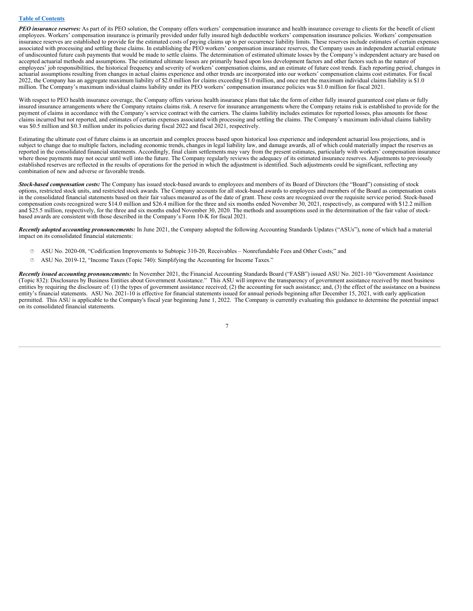#### **Table of [Contents](#page-1-0)**

*PEO insurance reserves:* As part of its PEO solution, the Company offers workers' compensation insurance and health insurance coverage to clients for the benefit of client employees. Workers' compensation insurance is primarily provided under fully insured high deductible workers' compensation insurance policies. Workers' compensation insurance reserves are established to provide for the estimated costs of paying claims up to per occurrence liability limits. These reserves include estimates of certain expenses associated with processing and settling these claims. In establishing the PEO workers' compensation insurance reserves, the Company uses an independent actuarial estimate of undiscounted future cash payments that would be made to settle claims. The determination of estimated ultimate losses by the Company's independent actuary are based on accepted actuarial methods and assumptions. The estimated ultimate losses are primarily based upon loss development factors and other factors such as the nature of employees' job responsibilities, the historical frequency and severity of workers' compensation claims, and an estimate of future cost trends. Each reporting period, changes in actuarial assumptions resulting from changes in actual claims experience and other trends are incorporated into our workers' compensation claims cost estimates. For fiscal 2022, the Company has an aggregate maximum liability of \$2.0 million for claims exceeding \$1.0 million, and once met the maximum individual claims liability is \$1.0 million. The Company's maximum individual claims liability under its PEO workers' compensation insurance policies was \$1.0 million for fiscal 2021.

With respect to PEO health insurance coverage, the Company offers various health insurance plans that take the form of either fully insured guaranteed cost plans or fully insured insurance arrangements where the Company retains claims risk. A reserve for insurance arrangements where the Company retains risk is established to provide for the payment of claims in accordance with the Company's service contract with the carriers. The claims liability includes estimates for reported losses, plus amounts for those claims incurred but not reported, and estimates of certain expenses associated with processing and settling the claims. The Company's maximum individual claims liability was \$0.5 million and \$0.3 million under its policies during fiscal 2022 and fiscal 2021, respectively.

Estimating the ultimate cost of future claims is an uncertain and complex process based upon historical loss experience and independent actuarial loss projections, and is subject to change due to multiple factors, including economic trends, changes in legal liability law, and damage awards, all of which could materially impact the reserves as reported in the consolidated financial statements. Accordingly, final claim settlements may vary from the present estimates, particularly with workers' compensation insurance where those payments may not occur until well into the future. The Company regularly reviews the adequacy of its estimated insurance reserves. Adjustments to previously established reserves are reflected in the results of operations for the period in which the adjustment is identified. Such adjustments could be significant, reflecting any combination of new and adverse or favorable trends.

*Stock-based compensation costs:* The Company has issued stock-based awards to employees and members of its Board of Directors (the "Board") consisting of stock options, restricted stock units, and restricted stock awards. The Company accounts for all stock-based awards to employees and members of the Board as compensation costs in the consolidated financial statements based on their fair values measured as of the date of grant. These costs are recognized over the requisite service period. Stock-based compensation costs recognized were \$14.0 million and \$26.4 million for the three and six months ended November 30, 2021, respectively, as compared with \$12.2 million and \$25.5 million, respectively, for the three and six months ended November 30, 2020. The methods and assumptions used in the determination of the fair value of stockbased awards are consistent with those described in the Company's Form 10-K for fiscal 2021.

*Recently adopted accounting pronouncements:* In June 2021, the Company adopted the following Accounting Standards Updates ("ASUs"), none of which had a material impact on its consolidated financial statements:

- · ASU No. 2020-08, "Codification Improvements to Subtopic 310-20, Receivables Nonrefundable Fees and Other Costs;" and
- · ASU No. 2019-12, "Income Taxes (Topic 740): Simplifying the Accounting for Income Taxes."

*Recently issued accounting pronouncements:* In November 2021, the Financial Accounting Standards Board ("FASB") issued ASU No. 2021-10 "Government Assistance (Topic 832): Disclosures by Business Entities about Government Assistance." This ASU will improve the transparency of government assistance received by most business entities by requiring the disclosure of: (1) the types of government assistance received; (2) the accounting for such assistance; and, (3) the effect of the assistance on a business entity's financial statements. ASU No. 2021-10 is effective for financial statements issued for annual periods beginning after December 15, 2021, with early application permitted. This ASU is applicable to the Company's fiscal year beginning June 1, 2022. The Company is currently evaluating this guidance to determine the potential impact on its consolidated financial statements.

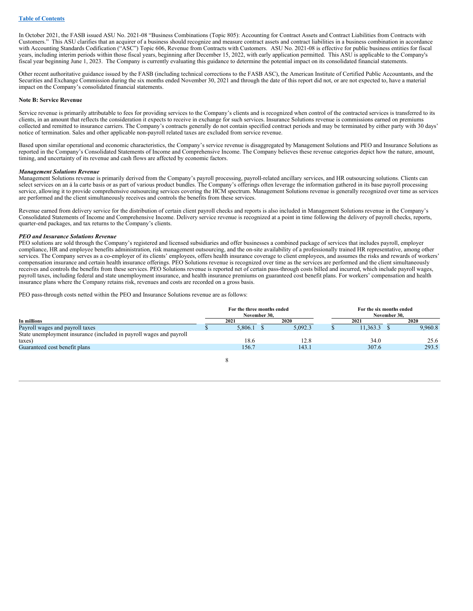In October 2021, the FASB issued ASU No. 2021-08 "Business Combinations (Topic 805): Accounting for Contract Assets and Contract Liabilities from Contracts with Customers." This ASU clarifies that an acquirer of a business should recognize and measure contract assets and contract liabilities in a business combination in accordance with Accounting Standards Codification ("ASC") Topic 606, Revenue from Contracts with Customers. ASU No. 2021-08 is effective for public business entities for fiscal years, including interim periods within those fiscal years, beginning after December 15, 2022, with early application permitted. This ASU is applicable to the Company's fiscal year beginning June 1, 2023. The Company is currently evaluating this guidance to determine the potential impact on its consolidated financial statements.

Other recent authoritative guidance issued by the FASB (including technical corrections to the FASB ASC), the American Institute of Certified Public Accountants, and the Securities and Exchange Commission during the six months ended November 30, 2021 and through the date of this report did not, or are not expected to, have a material impact on the Company's consolidated financial statements.

#### **Note B: Service Revenue**

Service revenue is primarily attributable to fees for providing services to the Company's clients and is recognized when control of the contracted services is transferred to its clients, in an amount that reflects the consideration it expects to receive in exchange for such services. Insurance Solutions revenue is commissions earned on premiums collected and remitted to insurance carriers. The Company's contracts generally do not contain specified contract periods and may be terminated by either party with 30 days' notice of termination. Sales and other applicable non-payroll related taxes are excluded from service revenue.

Based upon similar operational and economic characteristics, the Company's service revenue is disaggregated by Management Solutions and PEO and Insurance Solutions as reported in the Company's Consolidated Statements of Income and Comprehensive Income. The Company believes these revenue categories depict how the nature, amount, timing, and uncertainty of its revenue and cash flows are affected by economic factors.

#### *Management Solutions Revenue*

Management Solutions revenue is primarily derived from the Company's payroll processing, payroll-related ancillary services, and HR outsourcing solutions. Clients can select services on an á la carte basis or as part of various product bundles. The Company's offerings often leverage the information gathered in its base payroll processing service, allowing it to provide comprehensive outsourcing services covering the HCM spectrum. Management Solutions revenue is generally recognized over time as services are performed and the client simultaneously receives and controls the benefits from these services.

Revenue earned from delivery service for the distribution of certain client payroll checks and reports is also included in Management Solutions revenue in the Company's Consolidated Statements of Income and Comprehensive Income. Delivery service revenue is recognized at a point in time following the delivery of payroll checks, reports, quarter-end packages, and tax returns to the Company's clients.

### *PEO and Insurance Solutions Revenue*

PEO solutions are sold through the Company's registered and licensed subsidiaries and offer businesses a combined package of services that includes payroll, employer compliance, HR and employee benefits administration, risk management outsourcing, and the on-site availability of a professionally trained HR representative, among other services. The Company serves as a co-employer of its clients' employees, offers health insurance coverage to client employees, and assumes the risks and rewards of workers' compensation insurance and certain health insurance offerings. PEO Solutions revenue is recognized over time as the services are performed and the client simultaneously receives and controls the benefits from these services. PEO Solutions revenue is reported net of certain pass-through costs billed and incurred, which include payroll wages, payroll taxes, including federal and state unemployment insurance, and health insurance premiums on guaranteed cost benefit plans. For workers' compensation and health insurance plans where the Company retains risk, revenues and costs are recorded on a gross basis.

PEO pass-through costs netted within the PEO and Insurance Solutions revenue are as follows:

|                                                                     | For the three months ended<br>November 30. |         | For the six months ended<br>November 30. |          |  |         |  |  |  |
|---------------------------------------------------------------------|--------------------------------------------|---------|------------------------------------------|----------|--|---------|--|--|--|
| In millions                                                         | 2021                                       | 2020    |                                          | 2021     |  | 2020    |  |  |  |
| Payroll wages and payroll taxes                                     | 5.806.1                                    | 5.092.3 |                                          | 11.363.3 |  | 9,960.8 |  |  |  |
| State unemployment insurance (included in payroll wages and payroll |                                            |         |                                          |          |  |         |  |  |  |
| taxes)                                                              | 18.6                                       | 12.8    |                                          | 34.0     |  | 25.6    |  |  |  |
| Guaranteed cost benefit plans                                       | 156.7                                      | 143.1   |                                          | 307.6    |  | 293.5   |  |  |  |
|                                                                     |                                            |         |                                          |          |  |         |  |  |  |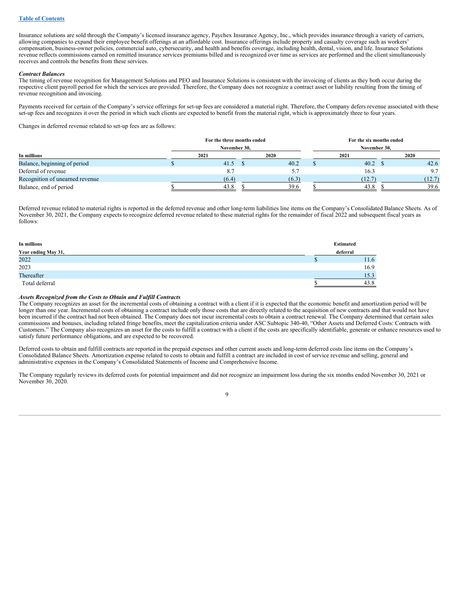Insurance solutions are sold through the Company's licensed insurance agency, Paychex Insurance Agency, Inc., which provides insurance through a variety of carriers, allowing companies to expand their employee benefit offerings at an affordable cost. Insurance offerings include property and casualty coverage such as workers' compensation, business-owner policies, commercial auto, cybersecurity, and health and benefits coverage, including health, dental, vision, and life. Insurance Solutions revenue reflects commissions earned on remitted insurance services premiums billed and is recognized over time as services are performed and the client simultaneously receives and controls the benefits from these services.

#### *Contract Balances*

The timing of revenue recognition for Management Solutions and PEO and Insurance Solutions is consistent with the invoicing of clients as they both occur during the respective client payroll period for which the services are provided. Therefore, the Company does not recognize a contract asset or liability resulting from the timing of revenue recognition and invoicing.

Payments received for certain of the Company's service offerings for set-up fees are considered a material right. Therefore, the Company defers revenue associated with these set-up fees and recognizes it over the period in which such clients are expected to benefit from the material right, which is approximately three to four years.

Changes in deferred revenue related to set-up fees are as follows:

|                                 | For the three months ended<br>November 30. |       | For the six months ended<br>November 30, |        |  |        |  |  |  |  |
|---------------------------------|--------------------------------------------|-------|------------------------------------------|--------|--|--------|--|--|--|--|
| In millions                     | 2021                                       | 2020  |                                          | 2021   |  | 2020   |  |  |  |  |
| Balance, beginning of period    | 41.5                                       | 40.2  |                                          | 40.2   |  | 42.6   |  |  |  |  |
| Deferral of revenue             | 8.7                                        |       |                                          | 16.3   |  | 9.7    |  |  |  |  |
| Recognition of unearned revenue | (6.4)                                      | (6.3) |                                          | (12.7) |  | (12.7) |  |  |  |  |
| Balance, end of period          | 43.8                                       | 39.6  |                                          | 43.8   |  | 39.6   |  |  |  |  |

Deferred revenue related to material rights is reported in the deferred revenue and other long-term liabilities line items on the Company's Consolidated Balance Sheets. As of November 30, 2021, the Company expects to recognize deferred revenue related to these material rights for the remainder of fiscal 2022 and subsequent fiscal years as follows:

| In millions         | <b>Estimated</b> |
|---------------------|------------------|
| Year ending May 31, | deferral         |
| 2022                | 11.6             |
| 2023                | 16.9             |
| Thereafter          | 15.3             |
| Total deferral      | 43.8             |

## *Assets Recognized from the Costs to Obtain and Fulfill Contracts*

The Company recognizes an asset for the incremental costs of obtaining a contract with a client if it is expected that the economic benefit and amortization period will be longer than one year. Incremental costs of obtaining a contract include only those costs that are directly related to the acquisition of new contracts and that would not have been incurred if the contract had not been obtained. The Company does not incur incremental costs to obtain a contract renewal. The Company determined that certain sales commissions and bonuses, including related fringe benefits, meet the capitalization criteria under ASC Subtopic 340-40, "Other Assets and Deferred Costs: Contracts with Customers." The Company also recognizes an asset for the costs to fulfill a contract with a client if the costs are specifically identifiable, generate or enhance resources used to satisfy future performance obligations, and are expected to be recovered.

Deferred costs to obtain and fulfill contracts are reported in the prepaid expenses and other current assets and long-term deferred costs line items on the Company's Consolidated Balance Sheets. Amortization expense related to costs to obtain and fulfill a contract are included in cost of service revenue and selling, general and administrative expenses in the Company's Consolidated Statements of Income and Comprehensive Income.

The Company regularly reviews its deferred costs for potential impairment and did not recognize an impairment loss during the six months ended November 30, 2021 or November 30, 2020.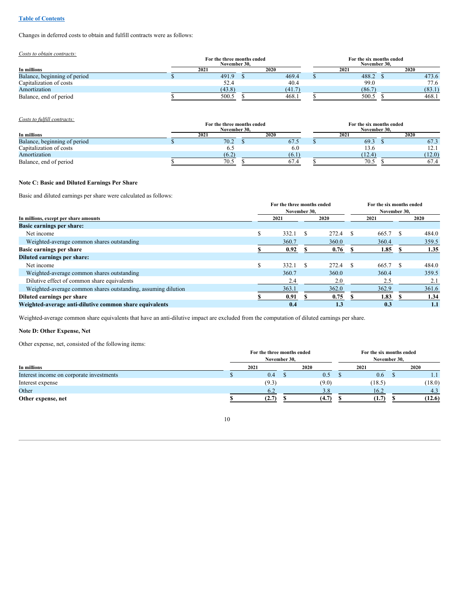## **Table of [Contents](#page-1-0)**

Changes in deferred costs to obtain and fulfill contracts were as follows:

*Costs to obtain contracts:*

|                              | For the three months ended<br>November 30. |        | For the six months ended<br>November 30. |  |        |  |  |  |
|------------------------------|--------------------------------------------|--------|------------------------------------------|--|--------|--|--|--|
| In millions                  | 2021                                       | 2020   | 2021                                     |  | 2020   |  |  |  |
| Balance, beginning of period | 491.9                                      | 469.4  | 488.2                                    |  | 473.6  |  |  |  |
| Capitalization of costs      | 52.4                                       | 40.4   | 99.0                                     |  | 77.6   |  |  |  |
| Amortization                 | (43.8)                                     | (41.7) | (86.7)                                   |  | (83.1) |  |  |  |
| Balance, end of period       | 500.5                                      | 468.1  | 500.5                                    |  | 468.1  |  |  |  |

*Costs to fulfill contracts:*

|                              | For the three months ended<br>November 30. |       | For the six months ended<br>November 30. |        |  |                      |  |  |  |  |  |
|------------------------------|--------------------------------------------|-------|------------------------------------------|--------|--|----------------------|--|--|--|--|--|
| In millions                  | 2021                                       | 2020  |                                          | 202    |  | 2020                 |  |  |  |  |  |
| Balance, beginning of period | 70.2                                       | 67.5  |                                          | 69.3   |  | 67.3                 |  |  |  |  |  |
| Capitalization of costs      | 0.3                                        | 6.0   |                                          | 13.6   |  | 1 ຕ.<br>$1 \angle 1$ |  |  |  |  |  |
| Amortization                 | (6.2)                                      | (6.1) |                                          | (12.4) |  | (12.0)               |  |  |  |  |  |
| Balance, end of period       | 70.5                                       | 67.4  |                                          | 70.5   |  | 67.4                 |  |  |  |  |  |

## **Note C: Basic and Diluted Earnings Per Share**

Basic and diluted earnings per share were calculated as follows:

|                                                               |   | For the three months ended<br>November 30. |  | For the six months ended<br>November 30, |  |       |  |       |  |
|---------------------------------------------------------------|---|--------------------------------------------|--|------------------------------------------|--|-------|--|-------|--|
| In millions, except per share amounts                         |   | 2021                                       |  | 2020                                     |  | 2021  |  | 2020  |  |
| <b>Basic earnings per share:</b>                              |   |                                            |  |                                          |  |       |  |       |  |
| Net income                                                    |   | 332.1                                      |  | 272.4                                    |  | 665.7 |  | 484.0 |  |
| Weighted-average common shares outstanding                    |   | 360.7                                      |  | 360.0                                    |  | 360.4 |  | 359.5 |  |
| Basic earnings per share                                      |   | 0.92                                       |  | 0.76                                     |  | 1.85  |  | 1.35  |  |
| Diluted earnings per share:                                   |   |                                            |  |                                          |  |       |  |       |  |
| Net income                                                    | S | 332.1                                      |  | 272.4                                    |  | 665.7 |  | 484.0 |  |
| Weighted-average common shares outstanding                    |   | 360.7                                      |  | 360.0                                    |  | 360.4 |  | 359.5 |  |
| Dilutive effect of common share equivalents                   |   | 2.4                                        |  | 2.0                                      |  | 2.5   |  | 2.1   |  |
| Weighted-average common shares outstanding, assuming dilution |   | 363.1                                      |  | 362.0                                    |  | 362.9 |  | 361.6 |  |
| Diluted earnings per share                                    |   | 0.91                                       |  | 0.75                                     |  | 1.83  |  | 1.34  |  |
| Weighted-average anti-dilutive common share equivalents       |   | 0.4                                        |  | 1.3                                      |  | 0.3   |  | 1.1   |  |

Weighted-average common share equivalents that have an anti-dilutive impact are excluded from the computation of diluted earnings per share.

## **Note D: Other Expense, Net**

Other expense, net, consisted of the following items:

|                                          | For the three months ended |       | For the six months ended |              |  |        |  |  |  |
|------------------------------------------|----------------------------|-------|--------------------------|--------------|--|--------|--|--|--|
|                                          | November 30.               |       |                          | November 30. |  |        |  |  |  |
| In millions                              | 2021                       | 2020  |                          | 2021         |  | 2020   |  |  |  |
| Interest income on corporate investments | 0.4                        | 0.5   |                          | 0.6          |  | 1.1    |  |  |  |
| Interest expense                         | (9.3)                      | (9.0) |                          | (18.5)       |  | (18.0) |  |  |  |
| Other                                    | 6.2                        | 3.8   |                          | 16.2         |  | 4.3    |  |  |  |
| Other expense, net                       | (2.7)                      | (4.7) |                          | (1.7)        |  | (12.6) |  |  |  |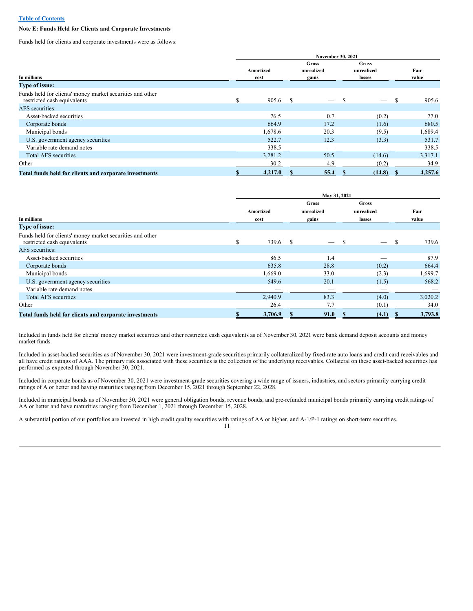#### **Table of [Contents](#page-1-0)**

## **Note E: Funds Held for Clients and Corporate Investments**

Funds held for clients and corporate investments were as follows:

|                                                                                          |   |                   |               | <b>November 30, 2021</b>            |                               |    |               |  |  |  |
|------------------------------------------------------------------------------------------|---|-------------------|---------------|-------------------------------------|-------------------------------|----|---------------|--|--|--|
| In millions                                                                              |   | Amortized<br>cost |               | <b>Gross</b><br>unrealized<br>gains | Gross<br>unrealized<br>losses |    | Fair<br>value |  |  |  |
| <b>Type of issue:</b>                                                                    |   |                   |               |                                     |                               |    |               |  |  |  |
| Funds held for clients' money market securities and other<br>restricted cash equivalents | S | 905.6             | <sup>\$</sup> |                                     | $\overline{\phantom{a}}$      | -S | 905.6         |  |  |  |
| AFS securities:                                                                          |   |                   |               |                                     |                               |    |               |  |  |  |
| Asset-backed securities                                                                  |   | 76.5              |               | 0.7                                 | (0.2)                         |    | 77.0          |  |  |  |
| Corporate bonds                                                                          |   | 664.9             |               | 17.2                                | (1.6)                         |    | 680.5         |  |  |  |
| Municipal bonds                                                                          |   | 1,678.6           |               | 20.3                                | (9.5)                         |    | 1,689.4       |  |  |  |
| U.S. government agency securities                                                        |   | 522.7             |               | 12.3                                | (3.3)                         |    | 531.7         |  |  |  |
| Variable rate demand notes                                                               |   | 338.5             |               |                                     |                               |    | 338.5         |  |  |  |
| <b>Total AFS</b> securities                                                              |   | 3,281.2           |               | 50.5                                | (14.6)                        |    | 3,317.1       |  |  |  |
| Other                                                                                    |   | 30.2              |               | 4.9                                 | (0.2)                         |    | 34.9          |  |  |  |
| Total funds held for clients and corporate investments                                   |   | 4,217.0           |               | 55.4                                | (14.8)                        |    | 4,257.6       |  |  |  |

| In millions<br><b>Type of issue:</b>                                                     |               | Amortized<br>cost | Gross<br>unrealized<br>gains |   | <b>Gross</b><br>unrealized<br>losses |   | Fair<br>value |
|------------------------------------------------------------------------------------------|---------------|-------------------|------------------------------|---|--------------------------------------|---|---------------|
|                                                                                          |               |                   |                              |   |                                      |   |               |
| Funds held for clients' money market securities and other<br>restricted cash equivalents | <sup>\$</sup> | 739.6 \$          | $\overline{\phantom{m}}$     | S | $\overline{\phantom{m}}$             | S | 739.6         |
| AFS securities:                                                                          |               |                   |                              |   |                                      |   |               |
| Asset-backed securities                                                                  |               | 86.5              | 1.4                          |   |                                      |   | 87.9          |
| Corporate bonds                                                                          |               | 635.8             | 28.8                         |   | (0.2)                                |   | 664.4         |
| Municipal bonds                                                                          |               | 1,669.0           | 33.0                         |   | (2.3)                                |   | 1,699.7       |
| U.S. government agency securities                                                        |               | 549.6             | 20.1                         |   | (1.5)                                |   | 568.2         |
| Variable rate demand notes                                                               |               |                   |                              |   | $\overline{\phantom{a}}$             |   |               |
| <b>Total AFS</b> securities                                                              |               | 2,940.9           | 83.3                         |   | (4.0)                                |   | 3,020.2       |
| Other                                                                                    |               | 26.4              | 7.7                          |   | (0.1)                                |   | 34.0          |
| Total funds held for clients and corporate investments                                   |               | 3,706.9           | 91.0                         |   | (4.1)                                |   | 3,793.8       |

Included in funds held for clients' money market securities and other restricted cash equivalents as of November 30, 2021 were bank demand deposit accounts and money market funds.

Included in asset-backed securities as of November 30, 2021 were investment-grade securities primarily collateralized by fixed-rate auto loans and credit card receivables and all have credit ratings of AAA. The primary risk associated with these securities is the collection of the underlying receivables. Collateral on these asset-backed securities has performed as expected through November 30, 2021.

Included in corporate bonds as of November 30, 2021 were investment-grade securities covering a wide range of issuers, industries, and sectors primarily carrying credit ratings of A or better and having maturities ranging from December 15, 2021 through September 22, 2028.

Included in municipal bonds as of November 30, 2021 were general obligation bonds, revenue bonds, and pre-refunded municipal bonds primarily carrying credit ratings of AA or better and have maturities ranging from December 1, 2021 through December 15, 2028.

A substantial portion of our portfolios are invested in high credit quality securities with ratings of AA or higher, and A-1/P-1 ratings on short-term securities.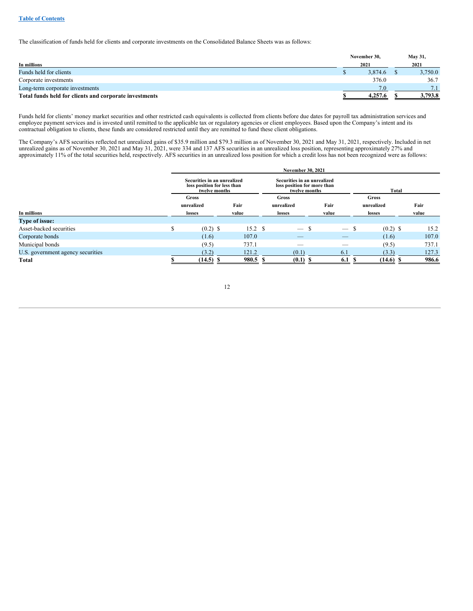The classification of funds held for clients and corporate investments on the Consolidated Balance Sheets was as follows:

|                                                        | November 30, | May 31, |
|--------------------------------------------------------|--------------|---------|
| In millions                                            | 2021         | 2021    |
| Funds held for clients                                 | 3,874.6      | 3,750.0 |
| Corporate investments                                  | 376.0        | 36.7    |
| Long-term corporate investments                        | 7.0          | 7.1     |
| Total funds held for clients and corporate investments | 4.257.6      | 3,793.8 |

Funds held for clients' money market securities and other restricted cash equivalents is collected from clients before due dates for payroll tax administration services and employee payment services and is invested until remitted to the applicable tax or regulatory agencies or client employees. Based upon the Company's intent and its contractual obligation to clients, these funds are considered restricted until they are remitted to fund these client obligations.

The Company's AFS securities reflected net unrealized gains of \$35.9 million and \$79.3 million as of November 30, 2021 and May 31, 2021, respectively. Included in net unrealized gains as of November 30, 2021 and May 31, 2021, were 334 and 137 AFS securities in an unrealized loss position, representing approximately 27% and approximately 11% of the total securities held, respectively. AFS securities in an unrealized loss position for which a credit loss has not been recognized were as follows:

|                                   | <b>November 30, 2021</b>                                                    |             |                   |  |                                                                             |  |                          |     |             |       |  |
|-----------------------------------|-----------------------------------------------------------------------------|-------------|-------------------|--|-----------------------------------------------------------------------------|--|--------------------------|-----|-------------|-------|--|
|                                   | Securities in an unrealized<br>loss position for less than<br>twelve months |             |                   |  | Securities in an unrealized<br>loss position for more than<br>twelve months |  |                          |     | Total       |       |  |
|                                   |                                                                             | Gross       |                   |  | Gross                                                                       |  |                          |     | Gross       |       |  |
|                                   |                                                                             | unrealized  | Fair              |  | unrealized                                                                  |  | Fair                     |     | unrealized  | Fair  |  |
| In millions                       |                                                                             | losses      | value             |  | losses                                                                      |  | value                    |     | losses      | value |  |
| <b>Type of issue:</b>             |                                                                             |             |                   |  |                                                                             |  |                          |     |             |       |  |
| Asset-backed securities           | S                                                                           | $(0.2)$ \$  | 15.2 <sup>°</sup> |  |                                                                             |  | $\overline{\phantom{m}}$ | \$. | $(0.2)$ \$  | 15.2  |  |
| Corporate bonds                   |                                                                             | (1.6)       | 107.0             |  |                                                                             |  |                          |     | (1.6)       | 107.0 |  |
| Municipal bonds                   |                                                                             | (9.5)       | 737.1             |  |                                                                             |  |                          |     | (9.5)       | 737.1 |  |
| U.S. government agency securities |                                                                             | (3.2)       | 121.2             |  | (0.1)                                                                       |  | 6.1                      |     | (3.3)       | 127.3 |  |
| Total                             |                                                                             | $(14.5)$ \$ | 980.5 \$          |  | $(0.1)$ \$                                                                  |  | 6.1                      |     | $(14.6)$ \$ | 986.6 |  |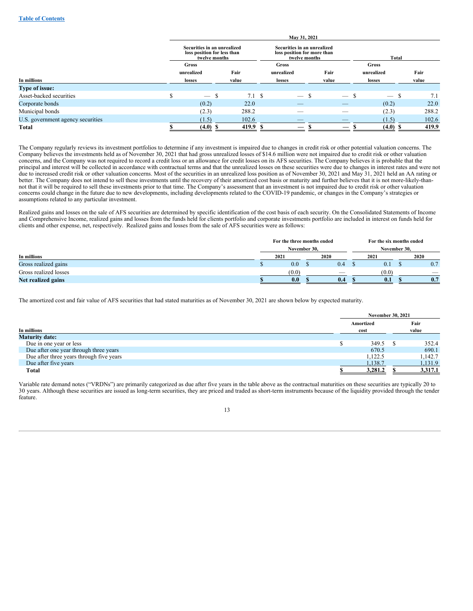|                                   |                                                                             |               | May 31, 2021                                                                |       |                                 |                                 |          |
|-----------------------------------|-----------------------------------------------------------------------------|---------------|-----------------------------------------------------------------------------|-------|---------------------------------|---------------------------------|----------|
|                                   | Securities in an unrealized<br>loss position for less than<br>twelve months |               | Securities in an unrealized<br>loss position for more than<br>twelve months |       |                                 | Total                           |          |
|                                   | <b>Gross</b>                                                                |               | Gross                                                                       |       |                                 | Gross                           |          |
|                                   | unrealized                                                                  | Fair          | unrealized                                                                  | Fair  |                                 | unrealized                      | Fair     |
| In millions                       | losses                                                                      | value         | losses                                                                      | value |                                 | losses                          | value    |
| <b>Type of issue:</b>             |                                                                             |               |                                                                             |       |                                 |                                 |          |
| Asset-backed securities           | $\overline{\phantom{m}}$                                                    | $7.1 \quad$ S | $\hspace{0.1mm}-\hspace{0.1mm}$                                             |       | $\hspace{0.1mm}-\hspace{0.1mm}$ | $\hspace{0.1mm}-\hspace{0.1mm}$ | 7.1<br>S |
| Corporate bonds                   | (0.2)                                                                       | 22.0          | $-$                                                                         |       | $-$                             | (0.2)                           | 22.0     |
| Municipal bonds                   | (2.3)                                                                       | 288.2         |                                                                             |       |                                 | (2.3)                           | 288.2    |
| U.S. government agency securities | (1.5)                                                                       | 102.6         | $-$                                                                         |       |                                 | (1.5)                           | 102.6    |
| Total                             | $(4.0)$ \$                                                                  | 419.9         |                                                                             |       |                                 | $(4.0)$ \$                      | 419.9    |

The Company regularly reviews its investment portfolios to determine if any investment is impaired due to changes in credit risk or other potential valuation concerns. The Company believes the investments held as of November 30, 2021 that had gross unrealized losses of \$14.6 million were not impaired due to credit risk or other valuation concerns, and the Company was not required to record a credit loss or an allowance for credit losses on its AFS securities. The Company believes it is probable that the principal and interest will be collected in accordance with contractual terms and that the unrealized losses on these securities were due to changes in interest rates and were not due to increased credit risk or other valuation concerns. Most of the securities in an unrealized loss position as of November 30, 2021 and May 31, 2021 held an AA rating or better. The Company does not intend to sell these investments until the recovery of their amortized cost basis or maturity and further believes that it is not more-likely-thannot that it will be required to sell these investments prior to that time. The Company's assessment that an investment is not impaired due to credit risk or other valuation concerns could change in the future due to new developments, including developments related to the COVID-19 pandemic, or changes in the Company's strategies or assumptions related to any particular investment.

Realized gains and losses on the sale of AFS securities are determined by specific identification of the cost basis of each security. On the Consolidated Statements of Income and Comprehensive Income, realized gains and losses from the funds held for clients portfolio and corporate investments portfolio are included in interest on funds held for clients and other expense, net, respectively. Realized gains and losses from the sale of AFS securities were as follows:

|                       | For the three months ended |       |  |      |  | For the six months ended |  |      |  |  |
|-----------------------|----------------------------|-------|--|------|--|--------------------------|--|------|--|--|
|                       | November 30.               |       |  |      |  | November 30.             |  |      |  |  |
| In millions           |                            | 2021  |  | 2020 |  | 2021                     |  | 2020 |  |  |
| Gross realized gains  |                            | 0.0   |  | 0.4  |  | 0.1                      |  | 0.7  |  |  |
| Gross realized losses |                            | (0.0) |  |      |  | (0.0)                    |  | -    |  |  |
| Net realized gains    |                            | 0.0   |  | 0.4  |  | 0.1                      |  | 0.7  |  |  |

The amortized cost and fair value of AFS securities that had stated maturities as of November 30, 2021 are shown below by expected maturity.

|                                          | <b>November 30, 2021</b> |         |
|------------------------------------------|--------------------------|---------|
|                                          | Amortized                | Fair    |
| In millions                              | cost                     | value   |
| <b>Maturity date:</b>                    |                          |         |
| Due in one year or less                  | 349.5                    | 352.4   |
| Due after one year through three years   | 670.5                    | 690.1   |
| Due after three years through five years | 1.122.5                  | 1,142.7 |
| Due after five years                     | 1,138.7                  | 1,131.9 |
| <b>Total</b>                             | 3,281.2                  | 3,317.1 |

Variable rate demand notes ("VRDNs") are primarily categorized as due after five years in the table above as the contractual maturities on these securities are typically 20 to 30 years. Although these securities are issued as long-term securities, they are priced and traded as short-term instruments because of the liquidity provided through the tender feature.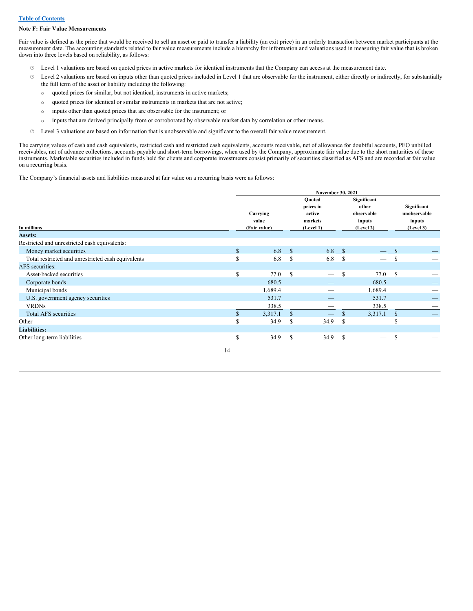#### **Note F: Fair Value Measurements**

Fair value is defined as the price that would be received to sell an asset or paid to transfer a liability (an exit price) in an orderly transaction between market participants at the measurement date. The accounting standards related to fair value measurements include a hierarchy for information and valuations used in measuring fair value that is broken down into three levels based on reliability, as follows:

- · Level 1 valuations are based on quoted prices in active markets for identical instruments that the Company can access at the measurement date.
- · Level 2 valuations are based on inputs other than quoted prices included in Level 1 that are observable for the instrument, either directly or indirectly, for substantially the full term of the asset or liability including the following:
	- o quoted prices for similar, but not identical, instruments in active markets;
	- o quoted prices for identical or similar instruments in markets that are not active;
	- o inputs other than quoted prices that are observable for the instrument; or
	- o inputs that are derived principally from or corroborated by observable market data by correlation or other means.
- · Level 3 valuations are based on information that is unobservable and significant to the overall fair value measurement.

The carrying values of cash and cash equivalents, restricted cash and restricted cash equivalents, accounts receivable, net of allowance for doubtful accounts, PEO unbilled receivables, net of advance collections, accounts payable and short-term borrowings, when used by the Company, approximate fair value due to the short maturities of these instruments. Marketable securities included in funds held for clients and corporate investments consist primarily of securities classified as AFS and are recorded at fair value on a recurring basis.

The Company's financial assets and liabilities measured at fair value on a recurring basis were as follows:

|                                                    |               | November 30, 2021                 |               |                                                       |               |                                                           |               |                                                    |  |  |  |
|----------------------------------------------------|---------------|-----------------------------------|---------------|-------------------------------------------------------|---------------|-----------------------------------------------------------|---------------|----------------------------------------------------|--|--|--|
| In millions                                        |               | Carrying<br>value<br>(Fair value) |               | Quoted<br>prices in<br>active<br>markets<br>(Level 1) |               | Significant<br>other<br>observable<br>inputs<br>(Level 2) |               | Significant<br>unobservable<br>inputs<br>(Level 3) |  |  |  |
| Assets:                                            |               |                                   |               |                                                       |               |                                                           |               |                                                    |  |  |  |
| Restricted and unrestricted cash equivalents:      |               |                                   |               |                                                       |               |                                                           |               |                                                    |  |  |  |
| Money market securities                            |               | 6.8                               | $\mathbb{S}$  | 6.8                                                   | \$            |                                                           |               |                                                    |  |  |  |
| Total restricted and unrestricted cash equivalents | S             | 6.8                               | <sup>\$</sup> | 6.8                                                   | <sup>\$</sup> |                                                           | \$            |                                                    |  |  |  |
| AFS securities:                                    |               |                                   |               |                                                       |               |                                                           |               |                                                    |  |  |  |
| Asset-backed securities                            | S             | 77.0                              | <sup>\$</sup> | $\overline{\phantom{0}}$                              | $\mathbb{S}$  | 77.0                                                      | <sup>S</sup>  |                                                    |  |  |  |
| Corporate bonds                                    |               | 680.5                             |               |                                                       |               | 680.5                                                     |               |                                                    |  |  |  |
| Municipal bonds                                    |               | 1,689.4                           |               |                                                       |               | 1,689.4                                                   |               |                                                    |  |  |  |
| U.S. government agency securities                  |               | 531.7                             |               |                                                       |               | 531.7                                                     |               | –                                                  |  |  |  |
| <b>VRDNs</b>                                       |               | 338.5                             |               |                                                       |               | 338.5                                                     |               |                                                    |  |  |  |
| <b>Total AFS securities</b>                        | $\mathcal{S}$ | 3,317.1                           | <sup>\$</sup> |                                                       | $\mathbb{S}$  | 3,317.1                                                   | <sup>S</sup>  |                                                    |  |  |  |
| Other                                              | <b>S</b>      | 34.9                              | \$            | 34.9                                                  | $\mathbb{S}$  |                                                           | <sup>\$</sup> |                                                    |  |  |  |
| <b>Liabilities:</b>                                |               |                                   |               |                                                       |               |                                                           |               |                                                    |  |  |  |
| Other long-term liabilities                        | S             | 34.9                              | \$            | 34.9                                                  | \$            |                                                           | \$            |                                                    |  |  |  |
|                                                    | 14            |                                   |               |                                                       |               |                                                           |               |                                                    |  |  |  |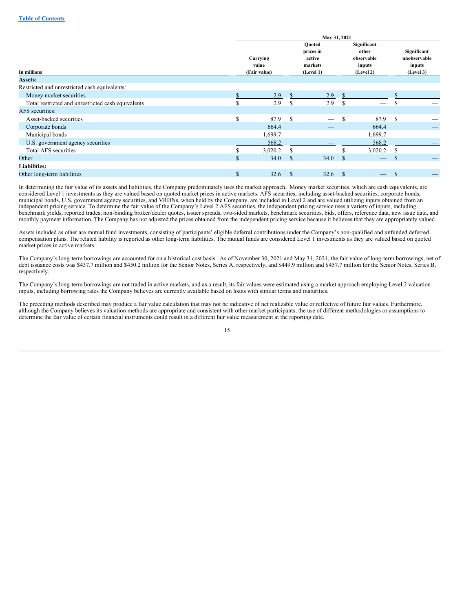|                                                    |               | May 31, 2021                      |               |                                                       |               |                                                           |               |                                                    |  |  |  |  |
|----------------------------------------------------|---------------|-----------------------------------|---------------|-------------------------------------------------------|---------------|-----------------------------------------------------------|---------------|----------------------------------------------------|--|--|--|--|
| In millions                                        |               | Carrying<br>value<br>(Fair value) |               | Quoted<br>prices in<br>active<br>markets<br>(Level 1) |               | Significant<br>other<br>observable<br>inputs<br>(Level 2) |               | Significant<br>unobservable<br>inputs<br>(Level 3) |  |  |  |  |
| <b>Assets:</b>                                     |               |                                   |               |                                                       |               |                                                           |               |                                                    |  |  |  |  |
| Restricted and unrestricted cash equivalents:      |               |                                   |               |                                                       |               |                                                           |               |                                                    |  |  |  |  |
| Money market securities                            |               | 2.9                               |               | 2.9                                                   |               |                                                           |               |                                                    |  |  |  |  |
| Total restricted and unrestricted cash equivalents | <b>S</b>      | 2.9                               | S             | 2.9                                                   | \$            | $\overline{\phantom{a}}$                                  |               |                                                    |  |  |  |  |
| AFS securities:                                    |               |                                   |               |                                                       |               |                                                           |               |                                                    |  |  |  |  |
| Asset-backed securities                            | <sup>\$</sup> | 87.9                              | <sup>\$</sup> | $\overline{\phantom{m}}$                              | S             | 87.9                                                      | -S            |                                                    |  |  |  |  |
| Corporate bonds                                    |               | 664.4                             |               |                                                       |               | 664.4                                                     |               |                                                    |  |  |  |  |
| Municipal bonds                                    |               | 1,699.7                           |               |                                                       |               | 1,699.7                                                   |               |                                                    |  |  |  |  |
| U.S. government agency securities                  |               | 568.2                             |               |                                                       |               | 568.2                                                     |               | _                                                  |  |  |  |  |
| Total AFS securities                               | \$.           | 3,020.2                           | S             | -                                                     | \$.           | 3,020.2                                                   |               |                                                    |  |  |  |  |
| Other                                              | $\mathcal{S}$ | 34.0                              | $\mathbb{S}$  | 34.0                                                  | <sup>\$</sup> |                                                           | <sup>\$</sup> |                                                    |  |  |  |  |
| <b>Liabilities:</b>                                |               |                                   |               |                                                       |               |                                                           |               |                                                    |  |  |  |  |
| Other long-term liabilities                        | $\mathbb{S}$  | 32.6                              | <sup>\$</sup> | 32.6                                                  | $\mathbb{S}$  |                                                           | <sup>\$</sup> |                                                    |  |  |  |  |

In determining the fair value of its assets and liabilities, the Company predominately uses the market approach. Money market securities, which are cash equivalents, are considered Level 1 investments as they are valued based on quoted market prices in active markets. AFS securities, including asset-backed securities, corporate bonds, municipal bonds, U.S. government agency securities, and VRDNs, when held by the Company, are included in Level 2 and are valued utilizing inputs obtained from an independent pricing service. To determine the fair value of the Company's Level 2 AFS securities, the independent pricing service uses a variety of inputs, including benchmark yields, reported trades, non-binding broker/dealer quotes, issuer spreads, two-sided markets, benchmark securities, bids, offers, reference data, new issue data, and monthly payment information. The Company has not adjusted the prices obtained from the independent pricing service because it believes that they are appropriately valued.

Assets included as other are mutual fund investments, consisting of participants' eligible deferral contributions under the Company's non-qualified and unfunded deferred compensation plans. The related liability is reported as other long-term liabilities. The mutual funds are considered Level 1 investments as they are valued based on quoted market prices in active markets.

The Company's long-term borrowings are accounted for on a historical cost basis. As of November 30, 2021 and May 31, 2021, the fair value of long-term borrowings, net of debt issuance costs was \$437.7 million and \$450.2 million for the Senior Notes, Series A, respectively, and \$449.9 million and \$457.7 million for the Senior Notes, Series B, respectively.

The Company's long-term borrowings are not traded in active markets, and as a result, its fair values were estimated using a market approach employing Level 2 valuation inputs, including borrowing rates the Company believes are currently available based on loans with similar terms and maturities.

The preceding methods described may produce a fair value calculation that may not be indicative of net realizable value or reflective of future fair values. Furthermore, although the Company believes its valuation methods are appropriate and consistent with other market participants, the use of different methodologies or assumptions to determine the fair value of certain financial instruments could result in a different fair value measurement at the reporting date.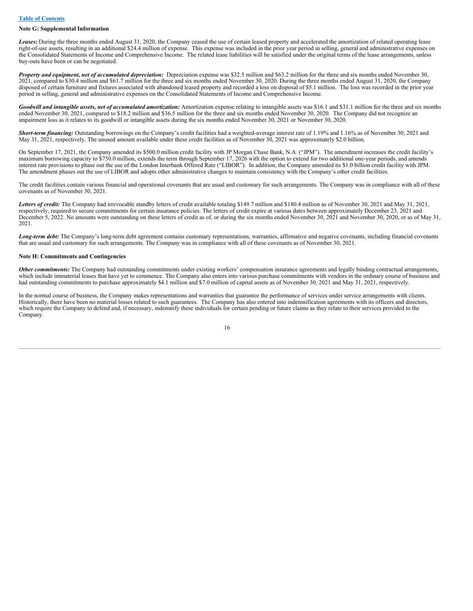#### **Note G: Supplemental Information**

*Leases:* During the three months ended August 31, 2020, the Company ceased the use of certain leased property and accelerated the amortization of related operating lease right-of-use assets, resulting in an additional \$24.4 million of expense. This expense was included in the prior year period in selling, general and administrative expenses on the Consolidated Statements of Income and Comprehensive Income. The related lease liabilities will be satisfied under the original terms of the lease arrangements, unless buy-outs have been or can be negotiated.

*Property and equipment, net of accumulated depreciation:* Depreciation expense was \$32.5 million and \$63.2 million for the three and six months ended November 30, 2021, compared to \$30.4 million and \$61.7 million for the three and six months ended November 30, 2020. During the three months ended August 31, 2020, the Company disposed of certain furniture and fixtures associated with abandoned leased property and recorded a loss on disposal of \$5.1 million. The loss was recorded in the prior year period in selling, general and administrative expenses on the Consolidated Statements of Income and Comprehensive Income.

Goodwill and intangible assets, net of accumulated amortization: Amortization expense relating to intangible assets was \$16.1 and \$31.1 million for the three and six months ended November 30, 2021, compared to \$18.2 million and \$36.5 million for the three and six months ended November 30, 2020. The Company did not recognize an impairment loss as it relates to its goodwill or intangible assets during the six months ended November 30, 2021 or November 30, 2020.

**Short-term financing:** Outstanding borrowings on the Company's credit facilities had a weighted-average interest rate of 1.19% and 1.16% as of November 30, 2021 and May 31, 2021, respectively. The unused amount available under these credit facilities as of November 30, 2021 was approximately \$2.0 billion.

On September 17, 2021, the Company amended its \$500.0 million credit facility with JP Morgan Chase Bank, N.A. ("JPM"). The amendment increases the credit facility's maximum borrowing capacity to \$750.0 million, extends the term through September 17, 2026 with the option to extend for two additional one-year periods, and amends interest rate provisions to phase out the use of the London Interbank Offered Rate ("LIBOR"). In addition, the Company amended its \$1.0 billion credit facility with JPM. The amendment phases out the use of LIBOR and adopts other administrative changes to maintain consistency with the Company's other credit facilities.

The credit facilities contain various financial and operational covenants that are usual and customary for such arrangements. The Company was in compliance with all of these covenants as of November 30, 2021.

Letters of credit: The Company had irrevocable standby letters of credit available totaling \$149.7 million and \$180.4 million as of November 30, 2021 and May 31, 2021, respectively, required to secure commitments for certain insurance policies. The letters of credit expire at various dates between approximately December 23, 2021 and December 5, 2022. No amounts were outstanding on these letters of credit as of, or during the six months ended November 30, 2021 and November 30, 2020, or as of May 31, 2021.

*Long-term debt:* The Company's long-term debt agreement contains customary representations, warranties, affirmative and negative covenants, including financial covenants that are usual and customary for such arrangements. The Company was in compliance with all of these covenants as of November 30, 2021.

#### **Note H: Commitments and Contingencies**

*Other commitments:* The Company had outstanding commitments under existing workers' compensation insurance agreements and legally binding contractual arrangements, which include immaterial leases that have yet to commence. The Company also enters into various purchase commitments with vendors in the ordinary course of business and had outstanding commitments to purchase approximately \$4.1 million and \$7.0 million of capital assets as of November 30, 2021 and May 31, 2021, respectively.

In the normal course of business, the Company makes representations and warranties that guarantee the performance of services under service arrangements with clients. Historically, there have been no material losses related to such guarantees. The Company has also entered into indemnification agreements with its officers and directors, which require the Company to defend and, if necessary, indemnify these individuals for certain pending or future claims as they relate to their services provided to the Company.

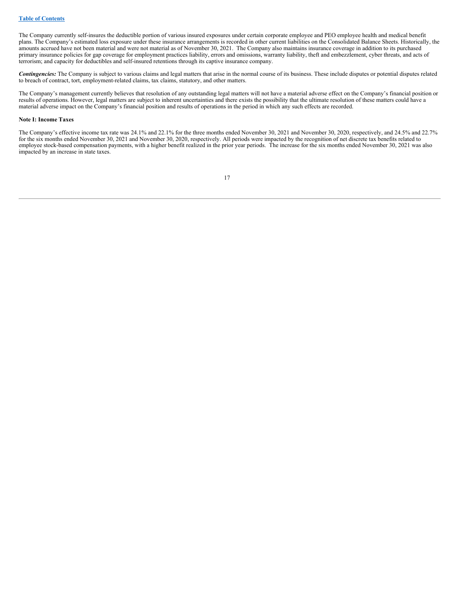The Company currently self-insures the deductible portion of various insured exposures under certain corporate employee and PEO employee health and medical benefit plans. The Company's estimated loss exposure under these insurance arrangements is recorded in other current liabilities on the Consolidated Balance Sheets. Historically, the amounts accrued have not been material and were not material as of November 30, 2021. The Company also maintains insurance coverage in addition to its purchased primary insurance policies for gap coverage for employment practices liability, errors and omissions, warranty liability, theft and embezzlement, cyber threats, and acts of terrorism; and capacity for deductibles and self-insured retentions through its captive insurance company.

*Contingencies:* The Company is subject to various claims and legal matters that arise in the normal course of its business. These include disputes or potential disputes related to breach of contract, tort, employment-related claims, tax claims, statutory, and other matters.

The Company's management currently believes that resolution of any outstanding legal matters will not have a material adverse effect on the Company's financial position or results of operations. However, legal matters are subject to inherent uncertainties and there exists the possibility that the ultimate resolution of these matters could have a material adverse impact on the Company's financial position and results of operations in the period in which any such effects are recorded.

#### **Note I: Income Taxes**

The Company's effective income tax rate was 24.1% and 22.1% for the three months ended November 30, 2021 and November 30, 2020, respectively, and 24.5% and 22.7% for the six months ended November 30, 2021 and November 30, 2020, respectively. All periods were impacted by the recognition of net discrete tax benefits related to employee stock-based compensation payments, with a higher benefit realized in the prior year periods. The increase for the six months ended November 30, 2021 was also impacted by an increase in state taxes.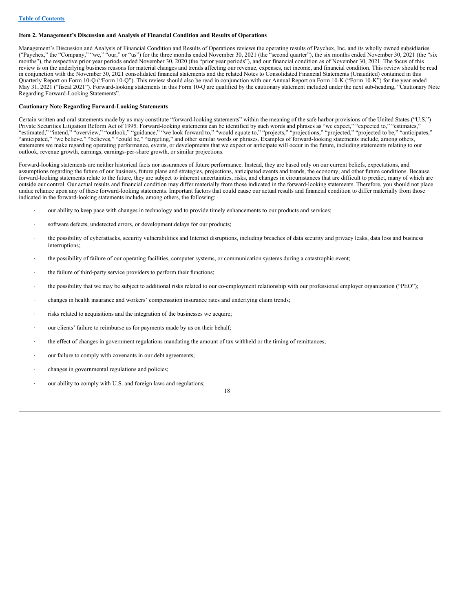#### <span id="page-19-0"></span>**Item 2. Management's Discussion and Analysis of Financial Condition and Results of Operations**

Management's Discussion and Analysis of Financial Condition and Results of Operations reviews the operating results of Paychex, Inc. and its wholly owned subsidiaries ("Paychex," the "Company," "we," "our," or "us") for the three months ended November 30, 2021 (the "second quarter"), the six months ended November 30, 2021 (the "six months"), the respective prior year periods ended November 30, 2020 (the "prior year periods"), and our financial condition as of November 30, 2021. The focus of this review is on the underlying business reasons for material changes and trends affecting our revenue, expenses, net income, and financial condition. This review should be read in conjunction with the November 30, 2021 consolidated financial statements and the related Notes to Consolidated Financial Statements (Unaudited) contained in this Quarterly Report on Form 10-Q ("Form 10-Q"). This review should also be read in conjunction with our Annual Report on Form 10-K ("Form 10-K") for the year ended May 31, 2021 ("fiscal 2021"). Forward-looking statements in this Form 10-Q are qualified by the cautionary statement included under the next sub-heading, "Cautionary Note Regarding Forward-Looking Statements".

#### **Cautionary Note Regarding Forward-Looking Statements**

Certain written and oral statements made by us may constitute "forward-looking statements" within the meaning of the safe harbor provisions of the United States ("U.S.") Private Securities Litigation Reform Act of 1995. Forward-looking statements can be identified by such words and phrases as "we expect," "expected to," "estimates," "estimated," "intend," "overview," "outlook," "guidance," "we look forward to," "would equate to," "projects," "projections," "projected," "projected to be," "anticipates," "anticipated," "we believe," "believes," "could be," "targeting," and other similar words or phrases. Examples of forward-looking statements include, among others, statements we make regarding operating performance, events, or developments that we expect or anticipate will occur in the future, including statements relating to our outlook, revenue growth, earnings, earnings-per-share growth, or similar projections.

Forward-looking statements are neither historical facts nor assurances of future performance. Instead, they are based only on our current beliefs, expectations, and assumptions regarding the future of our business, future plans and strategies, projections, anticipated events and trends, the economy, and other future conditions. Because forward-looking statements relate to the future, they are subject to inherent uncertainties, risks, and changes in circumstances that are difficult to predict, many of which are outside our control. Our actual results and financial condition may differ materially from those indicated in the forward-looking statements. Therefore, you should not place undue reliance upon any of these forward-looking statements. Important factors that could cause our actual results and financial condition to differ materially from those indicated in the forward-looking statements include, among others, the following:

- our ability to keep pace with changes in technology and to provide timely enhancements to our products and services;
- software defects, undetected errors, or development delays for our products;
- the possibility of cyberattacks, security vulnerabilities and Internet disruptions, including breaches of data security and privacy leaks, data loss and business interruptions;
- the possibility of failure of our operating facilities, computer systems, or communication systems during a catastrophic event;
- the failure of third-party service providers to perform their functions;
- · the possibility that we may be subject to additional risks related to our co-employment relationship with our professional employer organization ("PEO");
- · changes in health insurance and workers' compensation insurance rates and underlying claim trends;
- risks related to acquisitions and the integration of the businesses we acquire;
- our clients' failure to reimburse us for payments made by us on their behalf;
- · the effect of changes in government regulations mandating the amount of tax withheld or the timing of remittances;
- our failure to comply with covenants in our debt agreements;
- changes in governmental regulations and policies;
- our ability to comply with U.S. and foreign laws and regulations;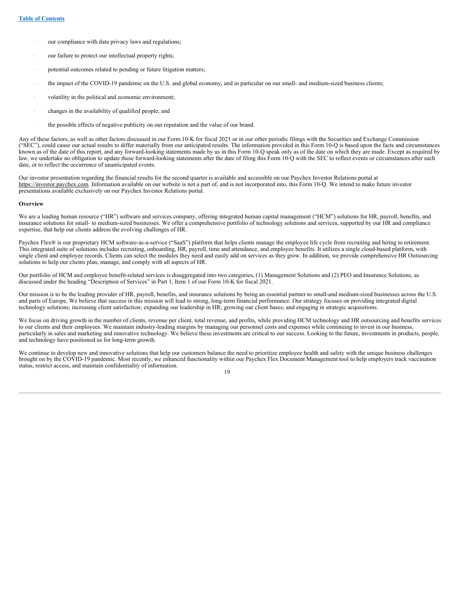- our compliance with data privacy laws and regulations;
- our failure to protect our intellectual property rights;
- potential outcomes related to pending or future litigation matters;
- the impact of the COVID-19 pandemic on the U.S. and global economy, and in particular on our small- and medium-sized business clients;
- volatility in the political and economic environment;
- · changes in the availability of qualified people; and
- · the possible effects of negative publicity on our reputation and the value of our brand.

Any of these factors, as well as other factors discussed in our Form 10-K for fiscal 2021 or in our other periodic filings with the Securities and Exchange Commission ("SEC"), could cause our actual results to differ materially from our anticipated results. The information provided in this Form 10-Q is based upon the facts and circumstances known as of the date of this report, and any forward-looking statements made by us in this Form 10-Q speak only as of the date on which they are made. Except as required by law, we undertake no obligation to update these forward-looking statements after the date of filing this Form 10-Q with the SEC to reflect events or circumstances after such date, or to reflect the occurrence of unanticipated events.

Our investor presentation regarding the financial results for the second quarter is available and accessible on our Paychex Investor Relations portal at https://investor.paychex.com. Information available on our website is not a part of, and is not incorporated into, this Form 10-Q. We intend to make future investor presentations available exclusively on our Paychex Investor Relations portal.

#### **Overview**

We are a leading human resource ("HR") software and services company, offering integrated human capital management ("HCM") solutions for HR, payroll, benefits, and insurance solutions for small- to medium-sized businesses. We offer a comprehensive portfolio of technology solutions and services, supported by our HR and compliance expertise, that help our clients address the evolving challenges of HR.

Paychex Flex® is our proprietary HCM software-as-a-service ("SaaS") platform that helps clients manage the employee life cycle from recruiting and hiring to retirement. This integrated suite of solutions includes recruiting, onboarding, HR, payroll, time and attendance, and employee benefits. It utilizes a single cloud-based platform, with single client and employee records. Clients can select the modules they need and easily add on services as they grow. In addition, we provide comprehensive HR Outsourcing solutions to help our clients plan, manage, and comply with all aspects of HR.

Our portfolio of HCM and employee benefit-related services is disaggregated into two categories, (1) Management Solutions and (2) PEO and Insurance Solutions, as discussed under the heading "Description of Services" in Part 1, Item 1 of our Form 10-K for fiscal 2021.

Our mission is to be the leading provider of HR, payroll, benefits, and insurance solutions by being an essential partner to small-and medium-sized businesses across the U.S. and parts of Europe. We believe that success in this mission will lead to strong, long-term financial performance. Our strategy focuses on providing integrated digital technology solutions; increasing client satisfaction; expanding our leadership in HR; growing our client bases; and engaging in strategic acquisitions.

We focus on driving growth in the number of clients, revenue per client, total revenue, and profits, while providing HCM technology and HR outsourcing and benefits services to our clients and their employees. We maintain industry-leading margins by managing our personnel costs and expenses while continuing to invest in our business, particularly in sales and marketing and innovative technology. We believe these investments are critical to our success. Looking to the future, investments in products, people, and technology have positioned us for long-term growth.

We continue to develop new and innovative solutions that help our customers balance the need to prioritize employee health and safety with the unique business challenges brought on by the COVID-19 pandemic. Most recently, we enhanced functionality within our Paychex Flex Document Management tool to help employers track vaccination status, restrict access, and maintain confidentiality of information.

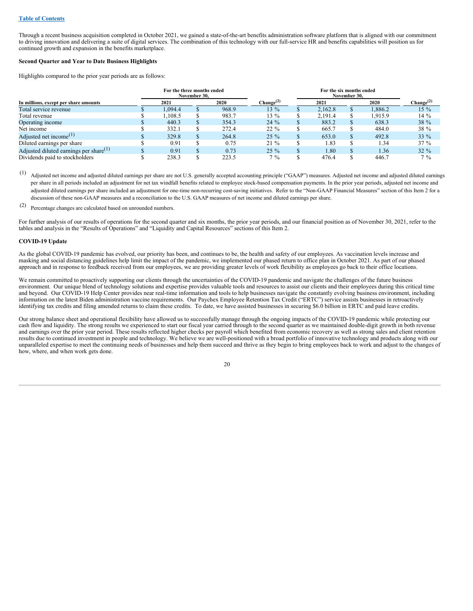Through a recent business acquisition completed in October 2021, we gained a state-of-the-art benefits administration software platform that is aligned with our commitment to driving innovation and delivering a suite of digital services. The combination of this technology with our full-service HR and benefits capabilities will position us for continued growth and expansion in the benefits marketplace.

#### **Second Quarter and Year to Date Business Highlights**

Highlights compared to the prior year periods are as follows:

|                                           | For the three months ended<br>November 30. |  |       |                       |  | For the six months ended<br>November 30. |  |         |                       |  |  |
|-------------------------------------------|--------------------------------------------|--|-------|-----------------------|--|------------------------------------------|--|---------|-----------------------|--|--|
| In millions, except per share amounts     | 2021                                       |  | 2020  | Change <sup>(2)</sup> |  | 2021                                     |  | 2020    | Change <sup>(2)</sup> |  |  |
| Total service revenue                     | 1.094.4                                    |  | 968.9 | $13\%$                |  | 2.162.8                                  |  | 1.886.2 | 15 %                  |  |  |
| Total revenue                             | .108.5                                     |  | 983.7 | 13 %                  |  | 2.191.4                                  |  | 1.915.9 | $14\%$                |  |  |
| Operating income                          | 440.3                                      |  | 354.3 | $24\%$                |  | 883.2                                    |  | 638.3   | 38 %                  |  |  |
| Net income                                | 332.1                                      |  | 272.4 | $22\%$                |  | 665.7                                    |  | 484.0   | 38 %                  |  |  |
| Adjusted net income <sup>(1)</sup>        | 329.8                                      |  | 264.8 | $25\%$                |  | 653.0                                    |  | 492.8   | $33\%$                |  |  |
| Diluted earnings per share                | 0.91                                       |  | 0.75  | $21\%$                |  | 1.83                                     |  | 1.34    | $37\%$                |  |  |
| Adjusted diluted earnings per share $(1)$ | 0.91                                       |  | 0.73  | $25\%$                |  | 1.80                                     |  | 1.36    | $32\%$                |  |  |
| Dividends paid to stockholders            | 238.3                                      |  | 223.5 | $7\%$                 |  | 476.4                                    |  | 446.7   | $7\%$                 |  |  |

(1) Adjusted net income and adjusted diluted earnings per share are not U.S. generally accepted accounting principle ("GAAP") measures. Adjusted net income and adjusted diluted earnings per share in all periods included an adjustment for net tax windfall benefits related to employee stock-based compensation payments. In the prior year periods, adjusted net income and adjusted diluted earnings per share included an adjustment for one-time non-recurring cost-saving initiatives. Refer to the "Non-GAAP Financial Measures" section of this Item 2 for a discussion of these non-GAAP measures and a reconciliation to the U.S. GAAP measures of net income and diluted earnings per share.

(2) Percentage changes are calculated based on unrounded numbers.

For further analysis of our results of operations for the second quarter and six months, the prior year periods, and our financial position as of November 30, 2021, refer to the tables and analysis in the "Results of Operations" and "Liquidity and Capital Resources" sections of this Item 2.

## **COVID-19 Update**

As the global COVID-19 pandemic has evolved, our priority has been, and continues to be, the health and safety of our employees. As vaccination levels increase and masking and social distancing guidelines help limit the impact of the pandemic, we implemented our phased return to office plan in October 2021. As part of our phased approach and in response to feedback received from our employees, we are providing greater levels of work flexibility as employees go back to their office locations.

We remain committed to proactively supporting our clients through the uncertainties of the COVID-19 pandemic and navigate the challenges of the future business environment. Our unique blend of technology solutions and expertise provides valuable tools and resources to assist our clients and their employees during this critical time and beyond. Our COVID-19 Help Center provides near real-time information and tools to help businesses navigate the constantly evolving business environment, including information on the latest Biden administration vaccine requirements. Our Paychex Employee Retention Tax Credit ("ERTC") service assists businesses in retroactively identifying tax credits and filing amended returns to claim these credits. To date, we have assisted businesses in securing \$6.0 billion in ERTC and paid leave credits.

Our strong balance sheet and operational flexibility have allowed us to successfully manage through the ongoing impacts of the COVID-19 pandemic while protecting our cash flow and liquidity. The strong results we experienced to start our fiscal year carried through to the second quarter as we maintained double-digit growth in both revenue and earnings over the prior year period. These results reflected higher checks per payroll which benefited from economic recovery as well as strong sales and client retention results due to continued investment in people and technology. We believe we are well-positioned with a broad portfolio of innovative technology and products along with our unparalleled expertise to meet the continuing needs of businesses and help them succeed and thrive as they begin to bring employees back to work and adjust to the changes of how, where, and when work gets done.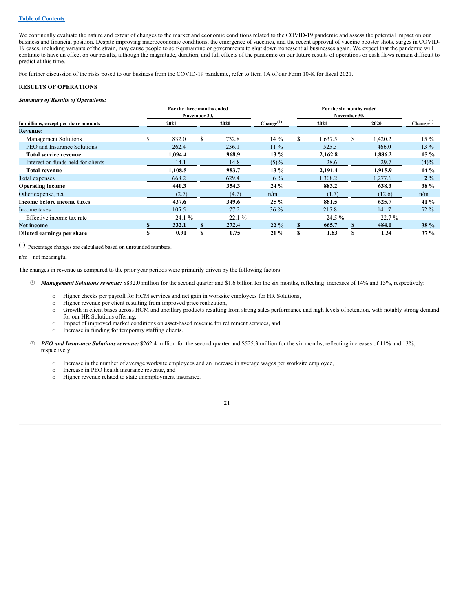#### **Table of [Contents](#page-1-0)**

We continually evaluate the nature and extent of changes to the market and economic conditions related to the COVID-19 pandemic and assess the potential impact on our business and financial position. Despite improving macroeconomic conditions, the emergence of vaccines, and the recent approval of vaccine booster shots, surges in COVID-19 cases, including variants of the strain, may cause people to self-quarantine or governments to shut down nonessential businesses again. We expect that the pandemic will continue to have an effect on our results, although the magnitude, duration, and full effects of the pandemic on our future results of operations or cash flows remain difficult to predict at this time.

For further discussion of the risks posed to our business from the COVID-19 pandemic, refer to Item 1A of our Form 10-K for fiscal 2021.

#### **RESULTS OF OPERATIONS**

#### *Summary of Results of Operations:*

|                                       |   | For the three months ended |              |       |                       |    |         |              |         |                       |  |
|---------------------------------------|---|----------------------------|--------------|-------|-----------------------|----|---------|--------------|---------|-----------------------|--|
|                                       |   |                            | November 30, |       |                       |    |         | November 30, |         |                       |  |
| In millions, except per share amounts |   | 2021                       |              | 2020  | Change <sup>(1)</sup> |    | 2021    |              | 2020    | Change <sup>(1)</sup> |  |
| <b>Revenue:</b>                       |   |                            |              |       |                       |    |         |              |         |                       |  |
| Management Solutions                  | S | 832.0                      | S            | 732.8 | $14\%$                | S. | 1,637.5 | S.           | 1,420.2 | $15\%$                |  |
| PEO and Insurance Solutions           |   | 262.4                      |              | 236.1 | $11\%$                |    | 525.3   |              | 466.0   | $13\%$                |  |
| <b>Total service revenue</b>          |   | 1,094.4                    |              | 968.9 | $13\%$                |    | 2,162.8 |              | 1,886.2 | $15\%$                |  |
| Interest on funds held for clients    |   | 14.1                       |              | 14.8  | $(5)\%$               |    | 28.6    |              | 29.7    | $(4)\%$               |  |
| <b>Total revenue</b>                  |   | 1.108.5                    |              | 983.7 | $13\%$                |    | 2,191.4 |              | 1,915.9 | $14\%$                |  |
| Total expenses                        |   | 668.2                      |              | 629.4 | $6\%$                 |    | 1,308.2 |              | 1,277.6 | $2\%$                 |  |
| <b>Operating income</b>               |   | 440.3                      |              | 354.3 | $24\%$                |    | 883.2   |              | 638.3   | 38 %                  |  |
| Other expense, net                    |   | (2.7)                      |              | (4.7) | n/m                   |    | (1.7)   |              | (12.6)  | n/m                   |  |
| Income before income taxes            |   | 437.6                      |              | 349.6 | $25 \%$               |    | 881.5   |              | 625.7   | 41 $%$                |  |
| Income taxes                          |   | 105.5                      |              | 77.2  | $36\%$                |    | 215.8   |              | 141.7   | 52 $%$                |  |
| Effective income tax rate             |   | 24.1 %                     |              | 22.1% |                       |    | 24.5 %  |              | 22.7%   |                       |  |
| Net income                            |   | 332.1                      |              | 272.4 | $22\%$                |    | 665.7   |              | 484.0   | 38 %                  |  |
| Diluted earnings per share            |   | 0.91                       |              | 0.75  | $21\%$                |    | 1.83    |              | 1.34    | $37\%$                |  |

(1) Percentage changes are calculated based on unrounded numbers.

n/m – not meaningful

The changes in revenue as compared to the prior year periods were primarily driven by the following factors:

- · *Management Solutions revenue:* \$832.0 million for the second quarter and \$1.6 billion for the six months, reflecting increases of 14% and 15%, respectively:
	- o Higher checks per payroll for HCM services and net gain in worksite employees for HR Solutions,
	- o Higher revenue per client resulting from improved price realization,
	- o Growth in client bases across HCM and ancillary products resulting from strong sales performance and high levels of retention, with notably strong demand for our HR Solutions offering,
	- o Impact of improved market conditions on asset-based revenue for retirement services, and
	- o Increase in funding for temporary staffing clients.
- · *PEO and Insurance Solutions revenue:* \$262.4 million for the second quarter and \$525.3 million for the six months, reflecting increases of 11% and 13%, respectively:
	- o Increase in the number of average worksite employees and an increase in average wages per worksite employee,
	- o Increase in PEO health insurance revenue, and
	- o Higher revenue related to state unemployment insurance.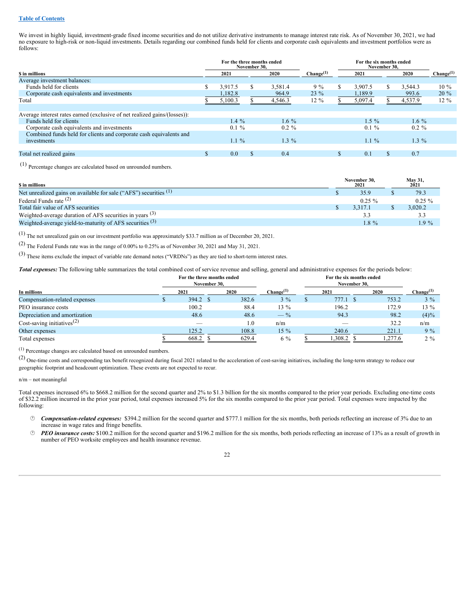#### **Table of [Contents](#page-1-0)**

We invest in highly liquid, investment-grade fixed income securities and do not utilize derivative instruments to manage interest rate risk. As of November 30, 2021, we had no exposure to high-risk or non-liquid investments. Details regarding our combined funds held for clients and corporate cash equivalents and investment portfolios were as follows:

|                                                                           | For the three months ended<br>November 30. |         |     |          |                       |    | For the six months ended<br>November 30. |    |          |                       |  |  |
|---------------------------------------------------------------------------|--------------------------------------------|---------|-----|----------|-----------------------|----|------------------------------------------|----|----------|-----------------------|--|--|
| \$ in millions                                                            |                                            | 2021    |     | 2020     | Change <sup>(1)</sup> |    | 2021                                     |    | 2020     | Change <sup>(1)</sup> |  |  |
| Average investment balances:                                              |                                            |         |     |          |                       |    |                                          |    |          |                       |  |  |
| Funds held for clients                                                    | S                                          | 3.917.5 |     | 3.581.4  | $9\%$                 | S. | 3.907.5                                  |    | 3.544.3  | $10\%$                |  |  |
| Corporate cash equivalents and investments                                |                                            | 1.182.8 |     | 964.9    | $23\%$                |    | 1,189.9                                  |    | 993.6    | $20\%$                |  |  |
| Total                                                                     |                                            | 5,100.3 |     | 4,546.3  | $12\%$                |    | 5,097.4                                  |    | 4,537.9  | $12\%$                |  |  |
|                                                                           |                                            |         |     |          |                       |    |                                          |    |          |                       |  |  |
| Average interest rates earned (exclusive of net realized gains/(losses)): |                                            |         |     |          |                       |    |                                          |    |          |                       |  |  |
| Funds held for clients                                                    |                                            | $1.4\%$ |     | $1.6\%$  |                       |    | $1.5 \%$                                 |    | $1.6\%$  |                       |  |  |
| Corporate cash equivalents and investments                                |                                            | $0.1\%$ |     | $0.2 \%$ |                       |    | $0.1\%$                                  |    | $0.2 \%$ |                       |  |  |
| Combined funds held for clients and corporate cash equivalents and        |                                            |         |     |          |                       |    |                                          |    |          |                       |  |  |
| investments                                                               |                                            | $1.1\%$ |     | $1.3\%$  |                       |    | $1.1\%$                                  |    | $1.3\%$  |                       |  |  |
|                                                                           |                                            |         |     |          |                       |    |                                          |    |          |                       |  |  |
| Total net realized gains                                                  | S.                                         | 0.0     | \$. | 0.4      |                       |    | 0.1                                      | υъ | 0.7      |                       |  |  |
|                                                                           |                                            |         |     |          |                       |    |                                          |    |          |                       |  |  |

(1) Percentage changes are calculated based on unrounded numbers.

| <b>S</b> in millions                                                         | November 30.<br>2021 |  | May 31,<br>2021 |
|------------------------------------------------------------------------------|----------------------|--|-----------------|
| Net unrealized gains on available for sale ("AFS") securities <sup>(1)</sup> | 35.9                 |  | 79.3            |
| Federal Funds rate $(2)$                                                     | $0.25 \%$            |  | $0.25 \%$       |
| Total fair value of AFS securities                                           | 3.317.1              |  | 3.020.2         |
| Weighted-average duration of AFS securities in years $(3)$                   |                      |  | 3.3             |
| Weighted-average yield-to-maturity of AFS securities (3)                     | $1.8\%$              |  | $.9\%$          |

(1) The net unrealized gain on our investment portfolio was approximately \$33.7 million as of December 20, 2021.

(2) The Federal Funds rate was in the range of 0.00% to 0.25% as of November 30, <sup>2021</sup> and May 31, 2021.

(3) These items exclude the impact of variable rate demand notes ("VRDNs") as they are tied to short-term interest rates.

*Total expenses:* The following table summarizes the total combined cost of service revenue and selling, general and administrative expenses for the periods below:

| For the three months ended<br>November 30, |  |          |  |       |                       |  |          |         |                       |
|--------------------------------------------|--|----------|--|-------|-----------------------|--|----------|---------|-----------------------|
| In millions                                |  | 2021     |  | 2020  | Change <sup>(1)</sup> |  | 2021     | 2020    | $\text{Change}^{(1)}$ |
| Compensation-related expenses              |  | 394.2 \$ |  | 382.6 | $3\%$                 |  | 777.1 \$ | 753.2   | $3\%$                 |
| PEO insurance costs                        |  | 100.2    |  | 88.4  | $13\%$                |  | 196.2    | 172.9   | $13\%$                |
| Depreciation and amortization              |  | 48.6     |  | 48.6  | $- \frac{9}{6}$       |  | 94.3     | 98.2    | $(4)\%$               |
| Cost-saving initiatives <sup>(2)</sup>     |  |          |  | 1.0   | n/m                   |  |          | 32.2    | n/m                   |
| Other expenses                             |  | 125.2    |  | 108.8 | $15\%$                |  | 240.6    | 221.1   | $9\%$                 |
| Total expenses                             |  | 668.2    |  | 629.4 | $6\%$                 |  | 1,308.2  | 1,277.6 | $2\%$                 |

(1) Percentage changes are calculated based on unrounded numbers.

(2) One-time costs and corresponding tax benefit recognized during fiscal <sup>2021</sup> related to the acceleration of cost-saving initiatives, including the long-term strategy to reduce our geographic footprint and headcount optimization. These events are not expected to recur.

#### n/m – not meaningful

Total expenses increased 6% to \$668.2 million for the second quarter and 2% to \$1.3 billion for the six months compared to the prior year periods. Excluding one-time costs of \$32.2 million incurred in the prior year period, total expenses increased 5% for the six months compared to the prior year period. Total expenses were impacted by the following:

- · *Compensation-related expenses:* \$394.2 million for the second quarter and \$777.1 million for the six months, both periods reflecting an increase of 3% due to an increase in wage rates and fringe benefits.
- · *PEO insurance costs:* \$100.2 million for the second quarter and \$196.2 million for the six months, both periods reflecting an increase of 13% as a result of growth in number of PEO worksite employees and health insurance revenue.

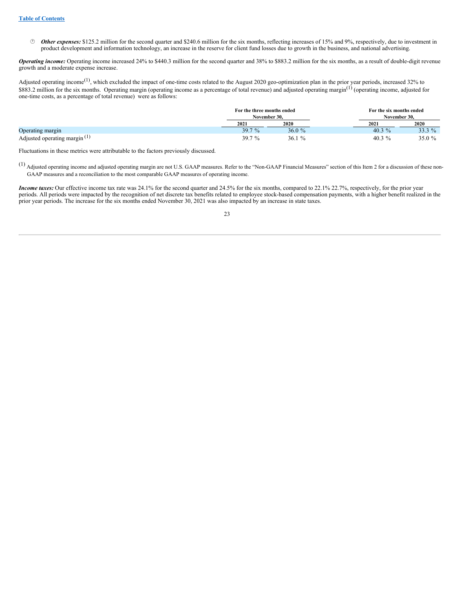· *Other expenses:* \$125.2 million for the second quarter and \$240.6 million for the six months, reflecting increases of 15% and 9%, respectively, due to investment in product development and information technology, an increase in the reserve for client fund losses due to growth in the business, and national advertising.

*Operating income:* Operating income increased 24% to \$440.3 million for the second quarter and 38% to \$883.2 million for the six months, as a result of double-digit revenue growth and a moderate expense increase.

Adjusted operating income<sup>(1)</sup>, which excluded the impact of one-time costs related to the August 2020 geo-optimization plan in the prior year periods, increased 32% to \$883.2 million for the six months. Operating margin (operating income as a percentage of total revenue) and adjusted operating margin<sup>(1)</sup> (operating income, adjusted for one-time costs, as a percentage of total revenue) were as follows:

|                                 | For the three months ended<br>November 30. |       | For the six months ended<br>November 30. |        |
|---------------------------------|--------------------------------------------|-------|------------------------------------------|--------|
|                                 | 2021                                       | 2020  | 2021                                     | 2020   |
| Operating margin                | 39.7 %                                     | 36.0% | 40.3 $%$                                 | 33.3 % |
| Adjusted operating margin $(1)$ | 39.7%                                      | 36.1% | 40.3 $%$                                 | 35.0 % |

Fluctuations in these metrics were attributable to the factors previously discussed.

(1) Adjusted operating income and adjusted operating margin are not U.S. GAAP measures. Refer to the "Non-GAAP Financial Measures" section of this Item <sup>2</sup> for <sup>a</sup> discussion of these non-GAAP measures and a reconciliation to the most comparable GAAP measures of operating income.

*Income taxes:* Our effective income tax rate was 24.1% for the second quarter and 24.5% for the six months, compared to 22.1% 22.7%, respectively, for the prior year periods. All periods were impacted by the recognition of net discrete tax benefits related to employee stock-based compensation payments, with a higher benefit realized in the prior year periods. The increase for the six months ended November 30, 2021 was also impacted by an increase in state taxes.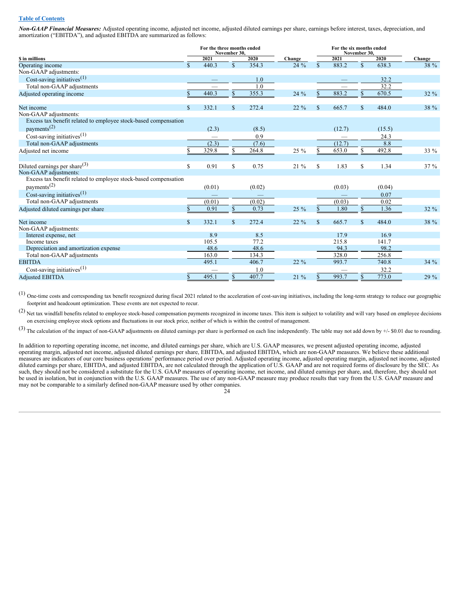#### **Table of [Contents](#page-1-0)**

*Non-GAAP Financial Measures:* Adjusted operating income, adjusted net income, adjusted diluted earnings per share, earnings before interest, taxes, depreciation, and amortization ("EBITDA"), and adjusted EBITDA are summarized as follows:

|                                                                                            |              | For the three months ended | November 30. |        |        |              | For the six months ended<br>November 30. |              |        |        |
|--------------------------------------------------------------------------------------------|--------------|----------------------------|--------------|--------|--------|--------------|------------------------------------------|--------------|--------|--------|
| <b>S</b> in millions                                                                       |              | 2021                       |              | 2020   | Change |              | 2021                                     |              | 2020   | Change |
| Operating income                                                                           | $\mathbb{S}$ | 440.3                      | $\mathbb{S}$ | 354.3  | $24\%$ | $\mathbb{S}$ | 883.2                                    | $\mathbb{S}$ | 638.3  | 38 %   |
| Non-GAAP adjustments:                                                                      |              |                            |              |        |        |              |                                          |              |        |        |
| Cost-saving initiatives <sup><math>(1)</math></sup>                                        |              |                            |              | 1.0    |        |              |                                          |              | 32.2   |        |
| Total non-GAAP adjustments                                                                 |              |                            |              | 1.0    |        |              |                                          |              | 32.2   |        |
| Adjusted operating income                                                                  |              | 440.3                      | \$           | 355.3  | $24\%$ | \$.          | 883.2                                    | \$           | 670.5  | 32 %   |
| Net income                                                                                 | $\mathbb{S}$ | 332.1                      | \$           | 272.4  | 22 %   | \$           | 665.7                                    | \$           | 484.0  | 38 %   |
| Non-GAAP adjustments:                                                                      |              |                            |              |        |        |              |                                          |              |        |        |
| Excess tax benefit related to employee stock-based compensation<br>payments <sup>(2)</sup> |              | (2.3)                      |              | (8.5)  |        |              | (12.7)                                   |              | (15.5) |        |
| Cost-saving initiatives <sup><math>(1)</math></sup>                                        |              |                            |              | 0.9    |        |              |                                          |              | 24.3   |        |
| Total non-GAAP adjustments                                                                 |              | (2.3)                      |              | (7.6)  |        |              | (12.7)                                   |              | 8.8    |        |
|                                                                                            |              | 329.8                      | \$           | 264.8  |        | S            | 653.0                                    | \$           | 492.8  |        |
| Adjusted net income                                                                        |              |                            |              |        | 25 %   |              |                                          |              |        | 33 %   |
| Diluted earnings per share $(3)$                                                           | \$           | 0.91                       | \$           | 0.75   | 21 %   | \$           | 1.83                                     | \$           | 1.34   | 37 %   |
| Non-GAAP adjustments:                                                                      |              |                            |              |        |        |              |                                          |              |        |        |
| Excess tax benefit related to employee stock-based compensation                            |              |                            |              |        |        |              |                                          |              |        |        |
| payments <sup>(2)</sup>                                                                    |              | (0.01)                     |              | (0.02) |        |              | (0.03)                                   |              | (0.04) |        |
| Cost-saving initiatives <sup><math>(1)</math></sup>                                        |              |                            |              |        |        |              |                                          |              | 0.07   |        |
| Total non-GAAP adjustments                                                                 |              | (0.01)                     |              | (0.02) |        |              | (0.03)                                   |              | 0.02   |        |
| Adjusted diluted earnings per share                                                        |              | 0.91                       | \$           | 0.73   | 25 %   |              | 1.80                                     | \$           | 1.36   | $32\%$ |
| Net income                                                                                 | $\mathbb{S}$ | 332.1                      | $\mathbb{S}$ | 272.4  | 22 %   | $\mathbf{s}$ | 665.7                                    | $\mathbb{S}$ | 484.0  | 38 %   |
| Non-GAAP adjustments:                                                                      |              |                            |              |        |        |              |                                          |              |        |        |
| Interest expense, net                                                                      |              | 8.9                        |              | 8.5    |        |              | 17.9                                     |              | 16.9   |        |
| Income taxes                                                                               |              | 105.5                      |              | 77.2   |        |              | 215.8                                    |              | 141.7  |        |
| Depreciation and amortization expense                                                      |              | 48.6                       |              | 48.6   |        |              | 94.3                                     |              | 98.2   |        |
| Total non-GAAP adjustments                                                                 |              | 163.0                      |              | 134.3  |        |              | 328.0                                    |              | 256.8  |        |
| <b>EBITDA</b>                                                                              |              | 495.1                      |              | 406.7  | 22 %   |              | 993.7                                    |              | 740.8  | $34\%$ |
| Cost-saving initiatives <sup><math>(1)</math></sup>                                        |              |                            |              | 1.0    |        |              |                                          |              | 32.2   |        |
| <b>Adjusted EBITDA</b>                                                                     | \$           | 495.1                      | \$           | 407.7  | 21 %   |              | 993.7                                    |              | 773.0  | 29 %   |

(1) One-time costs and corresponding tax benefit recognized during fiscal <sup>2021</sup> related to the acceleration of cost-saving initiatives, including the long-term strategy to reduce our geographic footprint and headcount optimization. These events are not expected to recur.

(2) Net tax windfall benefits related to employee stock-based compensation payments recognized in income taxes. This item is subject to volatility and will vary based on employee decisions on exercising employee stock options and fluctuations in our stock price, neither of which is within the control of management.

 $^{(3)}$  The calculation of the impact of non-GAAP adjustments on diluted earnings per share is performed on each line independently. The table may not add down by  $+/$ -\$0.01 due to rounding.

In addition to reporting operating income, net income, and diluted earnings per share, which are U.S. GAAP measures, we present adjusted operating income, adjusted operating margin, adjusted net income, adjusted diluted earnings per share, EBITDA, and adjusted EBITDA, which are non-GAAP measures. We believe these additional measures are indicators of our core business operations' performance period over period. Adjusted operating income, adjusted operating margin, adjusted net income, adjusted diluted earnings per share, EBITDA, and adjusted EBITDA, are not calculated through the application of U.S. GAAP and are not required forms of disclosure by the SEC. As such, they should not be considered a substitute for the U.S. GAAP measures of operating income, net income, and diluted earnings per share, and, therefore, they should not be used in isolation, but in conjunction with the U.S. GAAP measures. The use of any non-GAAP measure may produce results that vary from the U.S. GAAP measure and may not be comparable to a similarly defined non-GAAP measure used by other companies.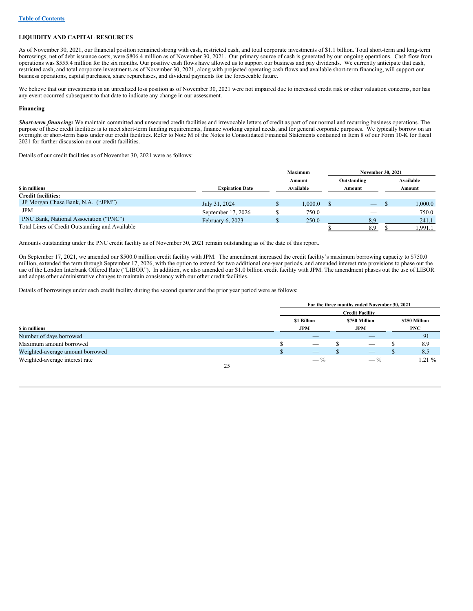## **LIQUIDITY AND CAPITAL RESOURCES**

As of November 30, 2021, our financial position remained strong with cash, restricted cash, and total corporate investments of \$1.1 billion. Total short-term and long-term borrowings, net of debt issuance costs, were \$806.4 million as of November 30, 2021. Our primary source of cash is generated by our ongoing operations. Cash flow from operations was \$555.4 million for the six months. Our positive cash flows have allowed us to support our business and pay dividends. We currently anticipate that cash, restricted cash, and total corporate investments as of November 30, 2021, along with projected operating cash flows and available short-term financing, will support our business operations, capital purchases, share repurchases, and dividend payments for the foreseeable future.

We believe that our investments in an unrealized loss position as of November 30, 2021 were not impaired due to increased credit risk or other valuation concerns, nor has any event occurred subsequent to that date to indicate any change in our assessment.

#### **Financing**

*Short-term financing:* We maintain committed and unsecured credit facilities and irrevocable letters of credit as part of our normal and recurring business operations. The purpose of these credit facilities is to meet short-term funding requirements, finance working capital needs, and for general corporate purposes. We typically borrow on an overnight or short-term basis under our credit facilities. Refer to Note M of the Notes to Consolidated Financial Statements contained in Item 8 of our Form 10-K for fiscal 2021 for further discussion on our credit facilities.

Details of our credit facilities as of November 30, 2021 were as follows:

|                                                 |                        | <b>Maximum</b> | <b>November 30, 2021</b> |        |           |  |
|-------------------------------------------------|------------------------|----------------|--------------------------|--------|-----------|--|
|                                                 |                        | Amount         | Outstanding              |        | Available |  |
| S in millions                                   | <b>Expiration Date</b> | Available      | Amount                   | Amount |           |  |
| <b>Credit facilities:</b>                       |                        |                |                          |        |           |  |
| JP Morgan Chase Bank, N.A. ("JPM")              | July 31, 2024          | 1.000.0        | $-$                      |        | 1,000.0   |  |
| <b>JPM</b>                                      | September 17, 2026     | 750.0          |                          |        | 750.0     |  |
| PNC Bank, National Association ("PNC")          | February $6, 2023$     | 250.0          | 8.9                      |        | 241.1     |  |
| Total Lines of Credit Outstanding and Available |                        |                | 8.9                      |        | 1,991.1   |  |

Amounts outstanding under the PNC credit facility as of November 30, 2021 remain outstanding as of the date of this report.

On September 17, 2021, we amended our \$500.0 million credit facility with JPM. The amendment increased the credit facility's maximum borrowing capacity to \$750.0 million, extended the term through September 17, 2026, with the option to extend for two additional one-year periods, and amended interest rate provisions to phase out the use of the London Interbank Offered Rate ("LIBOR"). In addition, we also amended our \$1.0 billion credit facility with JPM. The amendment phases out the use of LIBOR and adopts other administrative changes to maintain consistency with our other credit facilities.

Details of borrowings under each credit facility during the second quarter and the prior year period were as follows:

|                                  |    |                                               |                                |  | For the three months ended November 30, 2021 |    |            |  |
|----------------------------------|----|-----------------------------------------------|--------------------------------|--|----------------------------------------------|----|------------|--|
|                                  |    |                                               |                                |  | <b>Credit Facility</b>                       |    |            |  |
|                                  |    | \$1 Billion<br>\$250 Million<br>\$750 Million |                                |  |                                              |    |            |  |
| \$ in millions                   |    |                                               | <b>JPM</b>                     |  | <b>JPM</b>                                   |    | <b>PNC</b> |  |
| Number of days borrowed          |    |                                               |                                |  |                                              |    | 91         |  |
| Maximum amount borrowed          |    |                                               | $\overline{\phantom{m}}$       |  | $\overline{\phantom{a}}$                     |    | 8.9        |  |
| Weighted-average amount borrowed |    |                                               | $\overbrace{\hspace{25mm}}^{}$ |  | $\overline{\phantom{m}}$                     | ٠D | 8.5        |  |
| Weighted-average interest rate   |    |                                               | $-$ %                          |  | $-$ %                                        |    | $1.21\%$   |  |
|                                  | 25 |                                               |                                |  |                                              |    |            |  |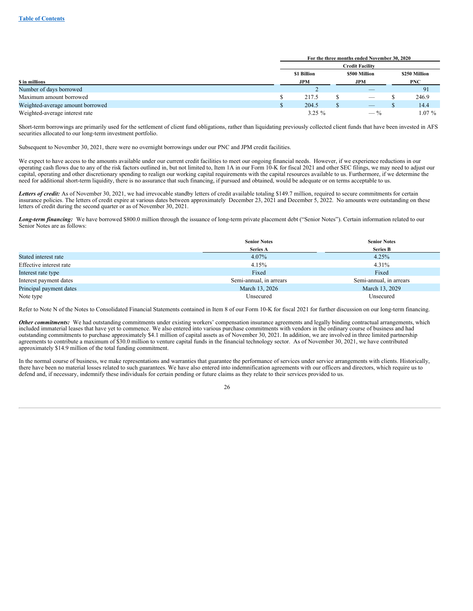|                                  | For the three months ended November 30, 2020<br><b>Credit Facility</b> |            |               |                                                                                                                                                                                                                                                                                                                                                                                                         |  |            |
|----------------------------------|------------------------------------------------------------------------|------------|---------------|---------------------------------------------------------------------------------------------------------------------------------------------------------------------------------------------------------------------------------------------------------------------------------------------------------------------------------------------------------------------------------------------------------|--|------------|
|                                  |                                                                        |            |               |                                                                                                                                                                                                                                                                                                                                                                                                         |  |            |
|                                  | \$1 Billion<br>\$500 Million                                           |            | \$250 Million |                                                                                                                                                                                                                                                                                                                                                                                                         |  |            |
| \$ in millions                   |                                                                        | <b>JPM</b> |               | <b>JPM</b>                                                                                                                                                                                                                                                                                                                                                                                              |  | <b>PNC</b> |
| Number of days borrowed          |                                                                        |            |               | $\overline{\phantom{a}}$                                                                                                                                                                                                                                                                                                                                                                                |  | 91         |
| Maximum amount borrowed          |                                                                        | 217.5      |               | $\overline{\phantom{a}}$                                                                                                                                                                                                                                                                                                                                                                                |  | 246.9      |
| Weighted-average amount borrowed |                                                                        | 204.5      |               | $\hspace{1.0cm} \overline{\hspace{1.0cm} \hspace{1.0cm} \hspace{1.0cm} } \hspace{1.0cm} \hspace{1.0cm} \overline{\hspace{1.0cm} \hspace{1.0cm} \hspace{1.0cm} } \hspace{1.0cm} \hspace{1.0cm} \overline{\hspace{1.0cm} \hspace{1.0cm} \hspace{1.0cm} } \hspace{1.0cm} \hspace{1.0cm} \overline{\hspace{1.0cm} \hspace{1.0cm} \hspace{1.0cm} } \hspace{1.0cm} \hspace{1.0cm} \hspace{1.0cm} } \hspace{1$ |  | 14.4       |
| Weighted-average interest rate   |                                                                        | $3.25 \%$  |               | $- \frac{6}{6}$                                                                                                                                                                                                                                                                                                                                                                                         |  | $1.07\%$   |

Short-term borrowings are primarily used for the settlement of client fund obligations, rather than liquidating previously collected client funds that have been invested in AFS securities allocated to our long-term investment portfolio.

Subsequent to November 30, 2021, there were no overnight borrowings under our PNC and JPM credit facilities.

We expect to have access to the amounts available under our current credit facilities to meet our ongoing financial needs. However, if we experience reductions in our operating cash flows due to any of the risk factors outlined in, but not limited to, Item 1A in our Form 10-K for fiscal 2021 and other SEC filings, we may need to adjust our capital, operating and other discretionary spending to realign our working capital requirements with the capital resources available to us. Furthermore, if we determine the need for additional short-term liquidity, there is no assurance that such financing, if pursued and obtained, would be adequate or on terms acceptable to us.

Letters of credit: As of November 30, 2021, we had irrevocable standby letters of credit available totaling \$149.7 million, required to secure commitments for certain insurance policies. The letters of credit expire at various dates between approximately December 23, 2021 and December 5, 2022. No amounts were outstanding on these letters of credit during the second quarter or as of November 30, 2021.

*Long-term financing:* We have borrowed \$800.0 million through the issuance of long-term private placement debt ("Senior Notes"). Certain information related to our Senior Notes are as follows:

|                         | <b>Senior Notes</b>     | <b>Senior Notes</b>     |
|-------------------------|-------------------------|-------------------------|
|                         | <b>Series A</b>         | <b>Series B</b>         |
| Stated interest rate    | $4.07\%$                | 4.25%                   |
| Effective interest rate | 4.15%                   | 4.31%                   |
| Interest rate type      | Fixed                   | Fixed                   |
| Interest payment dates  | Semi-annual, in arrears | Semi-annual, in arrears |
| Principal payment dates | March 13, 2026          | March 13, 2029          |
| Note type               | Unsecured               | Unsecured               |

Refer to Note N of the Notes to Consolidated Financial Statements contained in Item 8 of our Form 10-K for fiscal 2021 for further discussion on our long-term financing.

*Other commitments:* We had outstanding commitments under existing workers' compensation insurance agreements and legally binding contractual arrangements, which included immaterial leases that have yet to commence. We also entered into various purchase commitments with vendors in the ordinary course of business and had outstanding commitments to purchase approximately \$4.1 million of capital assets as of November 30, 2021. In addition, we are involved in three limited partnership agreements to contribute a maximum of \$30.0 million to venture capital funds in the financial technology sector. As of November 30, 2021, we have contributed approximately \$14.9 million of the total funding commitment.

In the normal course of business, we make representations and warranties that guarantee the performance of services under service arrangements with clients. Historically, there have been no material losses related to such guarantees. We have also entered into indemnification agreements with our officers and directors, which require us to defend and, if necessary, indemnify these individuals for certain pending or future claims as they relate to their services provided to us.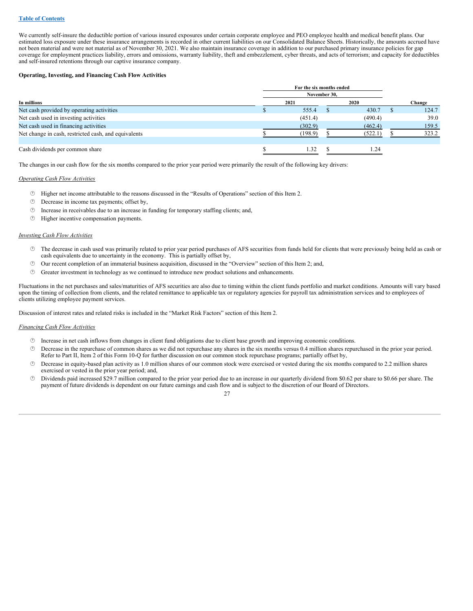We currently self-insure the deductible portion of various insured exposures under certain corporate employee and PEO employee health and medical benefit plans. Our estimated loss exposure under these insurance arrangements is recorded in other current liabilities on our Consolidated Balance Sheets. Historically, the amounts accrued have not been material and were not material as of November 30, 2021. We also maintain insurance coverage in addition to our purchased primary insurance policies for gap coverage for employment practices liability, errors and omissions, warranty liability, theft and embezzlement, cyber threats, and acts of terrorism; and capacity for deductibles and self-insured retentions through our captive insurance company.

## **Operating, Investing, and Financing Cash Flow Activities**

|                                                      | For the six months ended<br>November 30, |         |  |         |        |
|------------------------------------------------------|------------------------------------------|---------|--|---------|--------|
|                                                      |                                          |         |  |         |        |
| In millions                                          |                                          | 2021    |  | 2020    | Change |
| Net cash provided by operating activities            |                                          | 555.4   |  | 430.7   | 124.7  |
| Net cash used in investing activities                |                                          | (451.4) |  | (490.4) | 39.0   |
| Net cash used in financing activities                |                                          | (302.9) |  | (462.4) | 159.5  |
| Net change in cash, restricted cash, and equivalents |                                          | (198.9) |  | (522.1) | 323.2  |
|                                                      |                                          |         |  |         |        |
| Cash dividends per common share                      |                                          | 1.32    |  | . 24    |        |

The changes in our cash flow for the six months compared to the prior year period were primarily the result of the following key drivers:

#### *Operating Cash Flow Activities*

- · Higher net income attributable to the reasons discussed in the "Results of Operations" section of this Item 2.
- · Decrease in income tax payments; offset by,
- $\circled{e}$  Increase in receivables due to an increase in funding for temporary staffing clients; and,
- · Higher incentive compensation payments.

#### *Investing Cash Flow Activities*

- · The decrease in cash used was primarily related to prior year period purchases of AFS securities from funds held for clients that were previously being held as cash or cash equivalents due to uncertainty in the economy. This is partially offset by,
- · Our recent completion of an immaterial business acquisition, discussed in the "Overview" section of this Item 2; and,
- · Greater investment in technology as we continued to introduce new product solutions and enhancements.

Fluctuations in the net purchases and sales/maturities of AFS securities are also due to timing within the client funds portfolio and market conditions. Amounts will vary based upon the timing of collection from clients, and the related remittance to applicable tax or regulatory agencies for payroll tax administration services and to employees of clients utilizing employee payment services.

Discussion of interest rates and related risks is included in the "Market Risk Factors" section of this Item 2.

#### *Financing Cash Flow Activities*

- · Increase in net cash inflows from changes in client fund obligations due to client base growth and improving economic conditions.
- · Decrease in the repurchase of common shares as we did not repurchase any shares in the six months versus 0.4 million shares repurchased in the prior year period. Refer to Part II, Item 2 of this Form 10-Q for further discussion on our common stock repurchase programs; partially offset by,
- · Decrease in equity-based plan activity as 1.0 million shares of our common stock were exercised or vested during the six months compared to 2.2 million shares exercised or vested in the prior year period; and,
- · Dividends paid increased \$29.7 million compared to the prior year period due to an increase in our quarterly dividend from \$0.62 per share to \$0.66 per share. The payment of future dividends is dependent on our future earnings and cash flow and is subject to the discretion of our Board of Directors.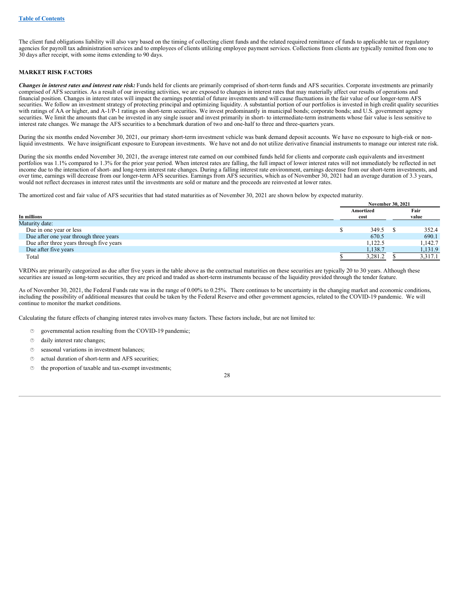The client fund obligations liability will also vary based on the timing of collecting client funds and the related required remittance of funds to applicable tax or regulatory agencies for payroll tax administration services and to employees of clients utilizing employee payment services. Collections from clients are typically remitted from one to 30 days after receipt, with some items extending to 90 days.

## **MARKET RISK FACTORS**

Changes in interest rates and interest rate risk: Funds held for clients are primarily comprised of short-term funds and AFS securities. Corporate investments are primarily comprised of AFS securities. As a result of our investing activities, we are exposed to changes in interest rates that may materially affect our results of operations and financial position. Changes in interest rates will impact the earnings potential of future investments and will cause fluctuations in the fair value of our longer-term AFS securities. We follow an investment strategy of protecting principal and optimizing liquidity. A substantial portion of our portfolios is invested in high credit quality securities with ratings of AA or higher, and A-1/P-1 ratings on short-term securities. We invest predominantly in municipal bonds; corporate bonds; and U.S. government agency securities. We limit the amounts that can be invested in any single issuer and invest primarily in short- to intermediate-term instruments whose fair value is less sensitive to interest rate changes. We manage the AFS securities to a benchmark duration of two and one-half to three and three-quarters years.

During the six months ended November 30, 2021, our primary short-term investment vehicle was bank demand deposit accounts. We have no exposure to high-risk or nonliquid investments. We have insignificant exposure to European investments. We have not and do not utilize derivative financial instruments to manage our interest rate risk.

During the six months ended November 30, 2021, the average interest rate earned on our combined funds held for clients and corporate cash equivalents and investment portfolios was 1.1% compared to 1.3% for the prior year period. When interest rates are falling, the full impact of lower interest rates will not immediately be reflected in net income due to the interaction of short- and long-term interest rate changes. During a falling interest rate environment, earnings decrease from our short-term investments, and over time, earnings will decrease from our longer-term AFS securities. Earnings from AFS securities, which as of November 30, 2021 had an average duration of 3.3 years, would not reflect decreases in interest rates until the investments are sold or mature and the proceeds are reinvested at lower rates.

The amortized cost and fair value of AFS securities that had stated maturities as of November 30, 2021 are shown below by expected maturity.

|                                          | <b>November 30, 2021</b> |           |  |         |
|------------------------------------------|--------------------------|-----------|--|---------|
|                                          |                          | Amortized |  | Fair    |
| In millions                              |                          | cost      |  | value   |
| Maturity date:                           |                          |           |  |         |
| Due in one year or less                  |                          | 349.5     |  | 352.4   |
| Due after one year through three years   |                          | 670.5     |  | 690.1   |
| Due after three years through five years |                          | 1.122.5   |  | 1.142.7 |
| Due after five years                     |                          | 1,138.7   |  | 1,131.9 |
| Total                                    |                          | 3,281.2   |  | 3,317.1 |
|                                          |                          |           |  |         |

VRDNs are primarily categorized as due after five years in the table above as the contractual maturities on these securities are typically 20 to 30 years. Although these securities are issued as long-term securities, they are priced and traded as short-term instruments because of the liquidity provided through the tender feature.

As of November 30, 2021, the Federal Funds rate was in the range of 0.00% to 0.25%. There continues to be uncertainty in the changing market and economic conditions, including the possibility of additional measures that could be taken by the Federal Reserve and other government agencies, related to the COVID-19 pandemic. We will continue to monitor the market conditions.

Calculating the future effects of changing interest rates involves many factors. These factors include, but are not limited to:

- · governmental action resulting from the COVID-19 pandemic;
- $\circledcirc$  daily interest rate changes;
- $\circledcirc$  seasonal variations in investment balances;
- $\circledcirc$  actual duration of short-term and AFS securities;
- $\circledcirc$  the proportion of taxable and tax-exempt investments;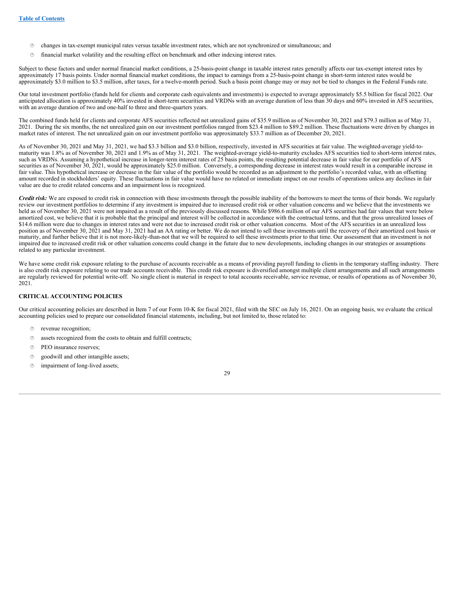- · changes in tax-exempt municipal rates versus taxable investment rates, which are not synchronized or simultaneous; and
- · financial market volatility and the resulting effect on benchmark and other indexing interest rates.

Subject to these factors and under normal financial market conditions, a 25-basis-point change in taxable interest rates generally affects our tax-exempt interest rates by approximately 17 basis points. Under normal financial market conditions, the impact to earnings from a 25-basis-point change in short-term interest rates would be approximately \$3.0 million to \$3.5 million, after taxes, for a twelve-month period. Such a basis point change may or may not be tied to changes in the Federal Funds rate.

Our total investment portfolio (funds held for clients and corporate cash equivalents and investments) is expected to average approximately \$5.5 billion for fiscal 2022. Our anticipated allocation is approximately 40% invested in short-term securities and VRDNs with an average duration of less than 30 days and 60% invested in AFS securities, with an average duration of two and one-half to three and three-quarters years.

The combined funds held for clients and corporate AFS securities reflected net unrealized gains of \$35.9 million as of November 30, 2021 and \$79.3 million as of May 31, 2021. During the six months, the net unrealized gain on our investment portfolios ranged from \$23.4 million to \$89.2 million. These fluctuations were driven by changes in market rates of interest. The net unrealized gain on our investment portfolio was approximately \$33.7 million as of December 20, 2021.

As of November 30, 2021 and May 31, 2021, we had \$3.3 billion and \$3.0 billion, respectively, invested in AFS securities at fair value. The weighted-average yield-tomaturity was 1.8% as of November 30, 2021 and 1.9% as of May 31, 2021. The weighted-average yield-to-maturity excludes AFS securities tied to short-term interest rates, such as VRDNs. Assuming a hypothetical increase in longer-term interest rates of 25 basis points, the resulting potential decrease in fair value for our portfolio of AFS securities as of November 30, 2021, would be approximately \$25.0 million. Conversely, a corresponding decrease in interest rates would result in a comparable increase in fair value. This hypothetical increase or decrease in the fair value of the portfolio would be recorded as an adjustment to the portfolio's recorded value, with an offsetting amount recorded in stockholders' equity. These fluctuations in fair value would have no related or immediate impact on our results of operations unless any declines in fair value are due to credit related concerns and an impairment loss is recognized.

*Credit risk:* We are exposed to credit risk in connection with these investments through the possible inability of the borrowers to meet the terms of their bonds. We regularly review our investment portfolios to determine if any investment is impaired due to increased credit risk or other valuation concerns and we believe that the investments we held as of November 30, 2021 were not impaired as a result of the previously discussed reasons. While \$986.6 million of our AFS securities had fair values that were below amortized cost, we believe that it is probable that the principal and interest will be collected in accordance with the contractual terms, and that the gross unrealized losses of \$14.6 million were due to changes in interest rates and were not due to increased credit risk or other valuation concerns. Most of the AFS securities in an unrealized loss position as of November 30, 2021 and May 31, 2021 had an AA rating or better. We do not intend to sell these investments until the recovery of their amortized cost basis or maturity, and further believe that it is not more-likely-than-not that we will be required to sell these investments prior to that time. Our assessment that an investment is not impaired due to increased credit risk or other valuation concerns could change in the future due to new developments, including changes in our strategies or assumptions related to any particular investment.

We have some credit risk exposure relating to the purchase of accounts receivable as a means of providing payroll funding to clients in the temporary staffing industry. There is also credit risk exposure relating to our trade accounts receivable. This credit risk exposure is diversified amongst multiple client arrangements and all such arrangements are regularly reviewed for potential write-off. No single client is material in respect to total accounts receivable, service revenue, or results of operations as of November 30, 2021.

## **CRITICAL ACCOUNTING POLICIES**

Our critical accounting policies are described in Item 7 of our Form 10-K for fiscal 2021, filed with the SEC on July 16, 2021. On an ongoing basis, we evaluate the critical accounting policies used to prepare our consolidated financial statements, including, but not limited to, those related to:

- $\circledcirc$  revenue recognition;
- $\circledcirc$  assets recognized from the costs to obtain and fulfill contracts;
- $©$  PEO insurance reserves;
- · goodwill and other intangible assets;
- $©$  impairment of long-lived assets;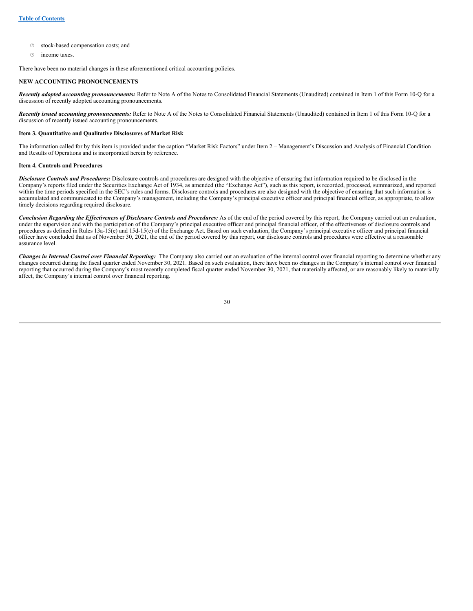- · stock-based compensation costs; and
- $\circ$  income taxes.

There have been no material changes in these aforementioned critical accounting policies.

## **NEW ACCOUNTING PRONOUNCEMENTS**

*Recently adopted accounting pronouncements:* Refer to Note A of the Notes to Consolidated Financial Statements (Unaudited) contained in Item 1 of this Form 10-Q for a discussion of recently adopted accounting pronouncements.

*Recently issued accounting pronouncements:* Refer to Note A of the Notes to Consolidated Financial Statements (Unaudited) contained in Item 1 of this Form 10-Q for a discussion of recently issued accounting pronouncements.

#### <span id="page-31-0"></span>**Item 3. Quantitative and Qualitative Disclosures of Market Risk**

The information called for by this item is provided under the caption "Market Risk Factors" under Item 2 – Management's Discussion and Analysis of Financial Condition and Results of Operations and is incorporated herein by reference.

#### <span id="page-31-1"></span>**Item 4. Controls and Procedures**

*Disclosure Controls and Procedures:* Disclosure controls and procedures are designed with the objective of ensuring that information required to be disclosed in the Company's reports filed under the Securities Exchange Act of 1934, as amended (the "Exchange Act"), such as this report, is recorded, processed, summarized, and reported within the time periods specified in the SEC's rules and forms. Disclosure controls and procedures are also designed with the objective of ensuring that such information is accumulated and communicated to the Company's management, including the Company's principal executive officer and principal financial officer, as appropriate, to allow timely decisions regarding required disclosure.

Conclusion Regarding the Effectiveness of Disclosure Controls and Procedures: As of the end of the period covered by this report, the Company carried out an evaluation, under the supervision and with the participation of the Company's principal executive officer and principal financial officer, of the effectiveness of disclosure controls and procedures as defined in Rules 13a-15(e) and 15d-15(e) of the Exchange Act. Based on such evaluation, the Company's principal executive officer and principal financial officer have concluded that as of November 30, 2021, the end of the period covered by this report, our disclosure controls and procedures were effective at a reasonable assurance level.

*Changes in Internal Control over Financial Reporting:* The Company also carried out an evaluation of the internal control over financial reporting to determine whether any changes occurred during the fiscal quarter ended November 30, 2021. Based on such evaluation, there have been no changes in the Company's internal control over financial reporting that occurred during the Company's most recently completed fiscal quarter ended November 30, 2021, that materially affected, or are reasonably likely to materially affect, the Company's internal control over financial reporting.

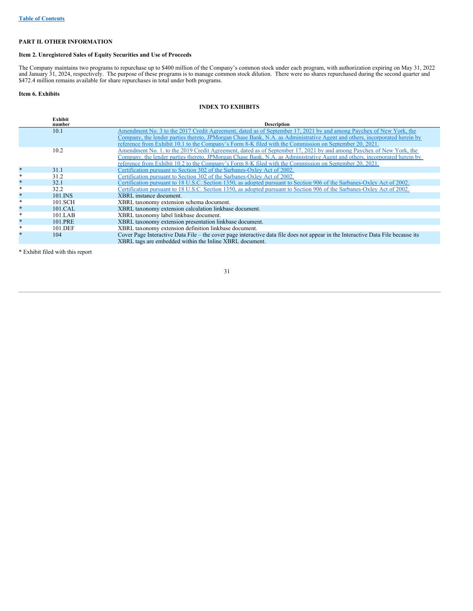## <span id="page-32-0"></span>**PART II. OTHER INFORMATION**

## <span id="page-32-1"></span>**Item 2. Unregistered Sales of Equity Securities and Use of Proceeds**

The Company maintains two programs to repurchase up to \$400 million of the Company's common stock under each program, with authorization expiring on May 31, 2022 and January 31, 2024, respectively. The purpose of these programs is to manage common stock dilution. There were no shares repurchased during the second quarter and \$472.4 million remains available for share repurchases in total under both programs.

## <span id="page-32-2"></span>**Item 6. Exhibits**

## **INDEX TO EXHIBITS**

|         | <b>Exhibit</b><br>number | <b>Description</b>                                                                                                               |
|---------|--------------------------|----------------------------------------------------------------------------------------------------------------------------------|
|         | 10.1                     | Amendment No. 3 to the 2017 Credit Agreement, dated as of September 17, 2021 by and among Paychex of New York, the               |
|         |                          | Company, the lender parties thereto, JPMorgan Chase Bank, N.A. as Administrative Agent and others, incorporated herein by        |
|         |                          | reference from Exhibit 10.1 to the Company's Form 8-K filed with the Commission on September 20, 2021.                           |
|         | 10.2                     | Amendment No. 1, to the 2019 Credit Agreement, dated as of September 17, 2021 by and among Paychex of New York, the              |
|         |                          | Company, the lender parties thereto, JPMorgan Chase Bank, N.A. as Administrative Agent and others, incorporated herein by        |
|         |                          | reference from Exhibit 10.2 to the Company's Form 8-K filed with the Commission on September 20, 2021.                           |
| $\ast$  | 31.1                     | Certification pursuant to Section 302 of the Sarbanes-Oxley Act of 2002.                                                         |
| *       | 31.2                     | Certification pursuant to Section 302 of the Sarbanes-Oxley Act of 2002.                                                         |
| $\star$ | 32.1                     | Certification pursuant to 18 U.S.C. Section 1350, as adopted pursuant to Section 906 of the Sarbanes-Oxley Act of 2002.          |
| *       | 32.2                     | Certification pursuant to 18 U.S.C. Section 1350, as adopted pursuant to Section 906 of the Sarbanes-Oxley Act of 2002.          |
| $\ast$  | 101.INS                  | XBRL instance document.                                                                                                          |
| *       | 101.SCH                  | XBRL taxonomy extension schema document.                                                                                         |
| $\star$ | 101.CAL                  | XBRL taxonomy extension calculation linkbase document.                                                                           |
| *       | 101.LAB                  | XBRL taxonomy label linkbase document.                                                                                           |
| $\ast$  | 101.PRE                  | XBRL taxonomy extension presentation linkbase document.                                                                          |
| *       | 101.DEF                  | XBRL taxonomy extension definition linkbase document.                                                                            |
| $\star$ | 104                      | Cover Page Interactive Data File – the cover page interactive data file does not appear in the Interactive Data File because its |
|         |                          | XBRL tags are embedded within the Inline XBRL document.                                                                          |

\* Exhibit filed with this report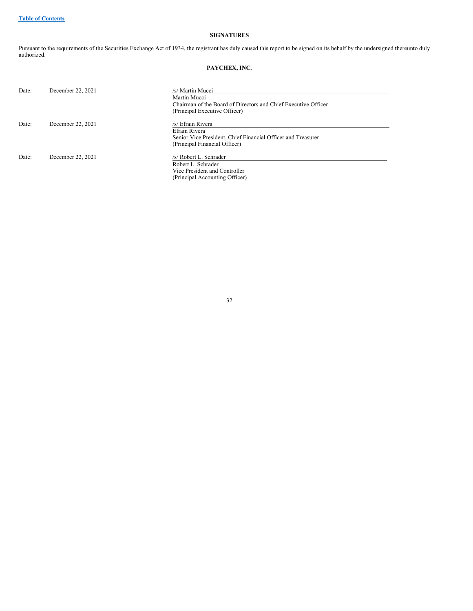## <span id="page-33-0"></span>**SIGNATURES**

Pursuant to the requirements of the Securities Exchange Act of 1934, the registrant has duly caused this report to be signed on its behalf by the undersigned thereunto duly authorized.

## **PAYCHEX, INC.**

| Date: | December 22, 2021 | /s/ Martin Mucci                                               |
|-------|-------------------|----------------------------------------------------------------|
|       |                   | Martin Mucci                                                   |
|       |                   | Chairman of the Board of Directors and Chief Executive Officer |
|       |                   | (Principal Executive Officer)                                  |
| Date: | December 22, 2021 | /s/ Efrain Rivera                                              |
|       |                   | Efrain Rivera                                                  |
|       |                   | Senior Vice President, Chief Financial Officer and Treasurer   |
|       |                   | (Principal Financial Officer)                                  |
| Date: | December 22, 2021 | /s/ Robert L. Schrader                                         |
|       |                   | Robert L. Schrader                                             |
|       |                   | Vice President and Controller                                  |
|       |                   | (Principal Accounting Officer)                                 |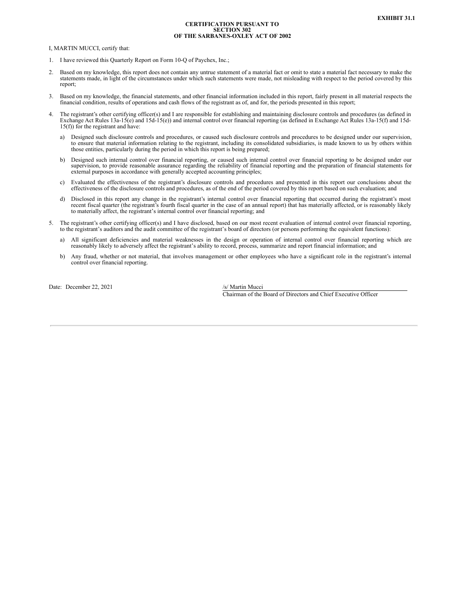#### **CERTIFICATION PURSUANT TO SECTION 302 OF THE SARBANES-OXLEY ACT OF 2002**

<span id="page-34-0"></span>I, MARTIN MUCCI, certify that:

- 1. I have reviewed this Quarterly Report on Form 10-Q of Paychex, Inc.;
- 2. Based on my knowledge, this report does not contain any untrue statement of a material fact or omit to state a material fact necessary to make the statements made, in light of the circumstances under which such statements were made, not misleading with respect to the period covered by this report;
- 3. Based on my knowledge, the financial statements, and other financial information included in this report, fairly present in all material respects the financial condition, results of operations and cash flows of the registrant as of, and for, the periods presented in this report;
- 4. The registrant's other certifying officer(s) and I are responsible for establishing and maintaining disclosure controls and procedures (as defined in Exchange Act Rules 13a-15(e) and 15d-15(e)) and internal control over financial reporting (as defined in Exchange Act Rules 13a-15(f) and 15d-15(f)) for the registrant and have:
	- a) Designed such disclosure controls and procedures, or caused such disclosure controls and procedures to be designed under our supervision, to ensure that material information relating to the registrant, including its consolidated subsidiaries, is made known to us by others within those entities, particularly during the period in which this report is being pre
	- b) Designed such internal control over financial reporting, or caused such internal control over financial reporting to be designed under our supervision, to provide reasonable assurance regarding the reliability of financial reporting and the preparation of financial statements for external purposes in accordance with generally accepted accounting principles;
	- c) Evaluated the effectiveness of the registrant's disclosure controls and procedures and presented in this report our conclusions about the effectiveness of the disclosure controls and procedures, as of the end of the per
	- d) Disclosed in this report any change in the registrant's internal control over financial reporting that occurred during the registrant's most recent fiscal quarter (the registrant's fourth fiscal quarter in the case of an annual report) that has materially affected, or is reasonably likely to materially affect, the registrant's internal control over financial reporting; and
- 5. The registrant's other certifying officer(s) and I have disclosed, based on our most recent evaluation of internal control over financial reporting, to the registrant's auditors and the audit committee of the registrant's board of directors (or persons performing the equivalent functions):
	- a) All significant deficiencies and material weaknesses in the design or operation of internal control over financial reporting which are reasonably likely to adversely affect the registrant's ability to record, process, summarize and report financial information; and
	- b) Any fraud, whether or not material, that involves management or other employees who have a significant role in the registrant's internal control over financial reporting.

Date: December 22, 2021 /s/ Martin Mucci

Chairman of the Board of Directors and Chief Executive Officer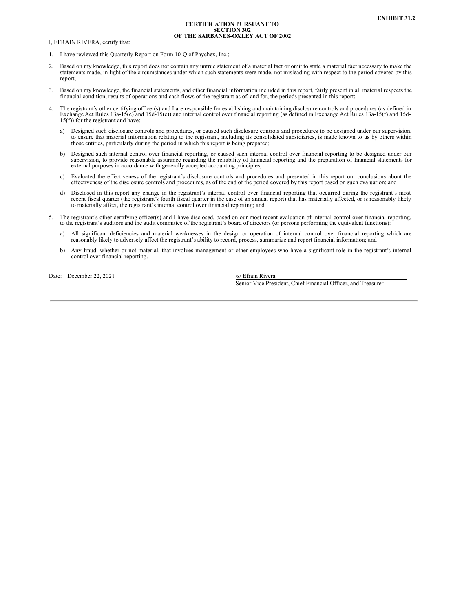#### **CERTIFICATION PURSUANT TO SECTION 302 OF THE SARBANES-OXLEY ACT OF 2002**

<span id="page-35-0"></span>I, EFRAIN RIVERA, certify that:

- 1. I have reviewed this Quarterly Report on Form 10-Q of Paychex, Inc.;
- 2. Based on my knowledge, this report does not contain any untrue statement of a material fact or omit to state a material fact necessary to make the statements made, in light of the circumstances under which such statements were made, not misleading with respect to the period covered by this report;
- 3. Based on my knowledge, the financial statements, and other financial information included in this report, fairly present in all material respects the financial condition, results of operations and cash flows of the registrant as of, and for, the periods presented in this report;
- 4. The registrant's other certifying officer(s) and I are responsible for establishing and maintaining disclosure controls and procedures (as defined in Exchange Act Rules 13a-15(e) and 15d-15(e) and internal control over 15(f)) for the registrant and have:
	- a) Designed such disclosure controls and procedures, or caused such disclosure controls and procedures to be designed under our supervision, to ensure that material information relating to the registrant, including its con those entities, particularly during the period in which this report is being prepared;
	- b) Designed such internal control over financial reporting, or caused such internal control over financial reporting to be designed under our supervision, to provide reasonable assurance regarding the reliability of financial reporting and the preparation of financial statements for external purposes in accordance with generally accepted accounting principles;
	- c) Evaluated the effectiveness of the registrant's disclosure controls and procedures and presented in this report our conclusions about the effectiveness of the disclosure controls and procedures, as of the end of the period covered by this report based on such evaluation; and
	- d) Disclosed in this report any change in the registrant's internal control over financial reporting that occurred during the registrant's most recent fiscal quarter (the registrant's fourth fiscal quarter in the case of an annual report) that has materially affected, or is reasonably likely to materially affect, the registrant's internal control over financial reporting; and
- 5. The registrant's other certifying officer(s) and I have disclosed, based on our most recent evaluation of internal control over financial reporting, to the registrant's auditors and the audit committee of the registrant's board of directors (or persons performing the equivalent functions):
	- a) All significant deficiencies and material weaknesses in the design or operation of internal control over financial reporting which are reasonably likely to adversely affect the registrant's ability to record, process, summarize and report financial information; and
	- b) Any fraud, whether or not material, that involves management or other employees who have a significant role in the registrant's internal control over financial reporting.

Date: December 22, 2021 /s/ Efrain Rivera

Senior Vice President, Chief Financial Officer, and Treasurer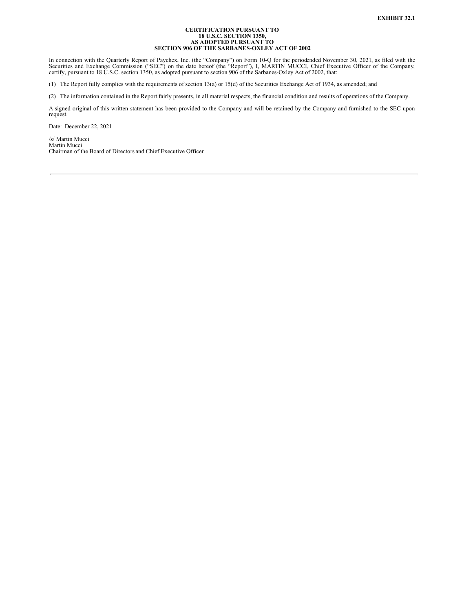## **CERTIFICATION PURSUANT TO 18 U.S.C. SECTION 1350, AS ADOPTED PURSUANT TO SECTION 906 OF THE SARBANES-OXLEY ACT OF 2002**

<span id="page-36-0"></span>In connection with the Quarterly Report of Paychex, Inc. (the "Company") on Form 10-Q for the periodended November 30, 2021, as filed with the Securities and Exchange Commission ("SEC") on the date hereof (the "Report"), I

(1) The Report fully complies with the requirements of section 13(a) or 15(d) of the Securities Exchange Act of 1934, as amended; and

(2) The information contained in the Report fairly presents, in all material respects, the financial condition and results of operations of the Company.

A signed original of this written statement has been provided to the Company and will be retained by the Company and furnished to the SEC upon request.

Date: December 22, 2021

/s/ Martin Mucci Martin Mucci Chairman of the Board of Directors and Chief Executive Officer